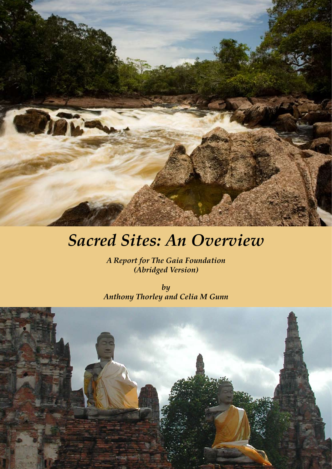

# *Sacred Sites: An Overview*

*A Report for The Gaia Foundation (Abridged Version)*

*by Anthony Thorley and Celia M Gunn*

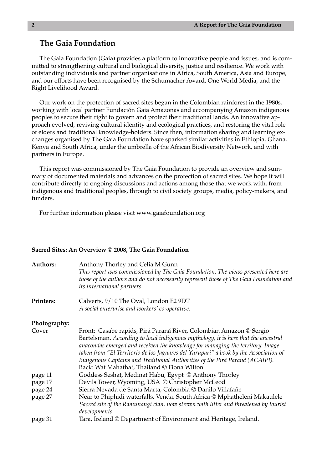### **The Gaia Foundation**

The Gaia Foundation (Gaia) provides a platform to innovative people and issues, and is committed to strengthening cultural and biological diversity, justice and resilience. We work with outstanding individuals and partner organisations in Africa, South America, Asia and Europe, and our efforts have been recognised by the Schumacher Award, One World Media, and the Right Livelihood Award.

Our work on the protection of sacred sites began in the Colombian rainforest in the 1980s, working with local partner Fundación Gaia Amazonas and accompanying Amazon indigenous peoples to secure their right to govern and protect their traditional lands. An innovative approach evolved, reviving cultural identity and ecological practices, and restoring the vital role of elders and traditional knowledge-holders. Since then, information sharing and learning exchanges organised by The Gaia Foundation have sparked similar activities in Ethiopia, Ghana, Kenya and South Africa, under the umbrella of the African Biodiversity Network, and with partners in Europe.

This report was commissioned by The Gaia Foundation to provide an overview and summary of documented materials and advances on the protection of sacred sites. We hope it will contribute directly to ongoing discussions and actions among those that we work with, from indigenous and traditional peoples, through to civil society groups, media, policy-makers, and funders.

For further information please visit www.gaiafoundation.org

#### **Sacred Sites: An Overview © 2008, The Gaia Foundation**

| <b>Authors:</b>  | Anthony Thorley and Celia M Gunn<br>This report was commissioned by The Gaia Foundation. The views presented here are<br>those of the authors and do not necessarily represent those of The Gaia Foundation and<br><i>its international partners.</i>                                                                                                                                                                                                             |
|------------------|-------------------------------------------------------------------------------------------------------------------------------------------------------------------------------------------------------------------------------------------------------------------------------------------------------------------------------------------------------------------------------------------------------------------------------------------------------------------|
| <b>Printers:</b> | Calverts, 9/10 The Oval, London E2 9DT<br>A social enterprise and workers' co-operative.                                                                                                                                                                                                                                                                                                                                                                          |
| Photography:     |                                                                                                                                                                                                                                                                                                                                                                                                                                                                   |
| Cover            | Front: Casabe rapids, Pirá Paraná River, Colombian Amazon © Sergio<br>Bartelsman. According to local indigenous mythology, it is here that the ancestral<br>anacondas emerged and received the knowledge for managing the territory. Image<br>taken from "El Territorio de los Jaguares del Yurupari" a book by the Association of<br>Indigenous Captains and Traditional Authorities of the Pirá Paraná (ACAIPI).<br>Back: Wat Mahathat, Thailand © Fiona Wilton |
| page 11          | Goddess Seshat, Medinat Habu, Egypt © Anthony Thorley                                                                                                                                                                                                                                                                                                                                                                                                             |
| page 17          | Devils Tower, Wyoming, USA © Christopher McLeod                                                                                                                                                                                                                                                                                                                                                                                                                   |
| page 24          | Sierra Nevada de Santa Marta, Colombia © Danilo Villafañe                                                                                                                                                                                                                                                                                                                                                                                                         |
| page 27          | Near to Phiphidi waterfalls, Venda, South Africa © Mphatheleni Makaulele<br>Sacred site of the Ramunangi clan, now strewn with litter and threatened by tourist<br>developments.                                                                                                                                                                                                                                                                                  |
| page 31          | Tara, Ireland © Department of Environment and Heritage, Ireland.                                                                                                                                                                                                                                                                                                                                                                                                  |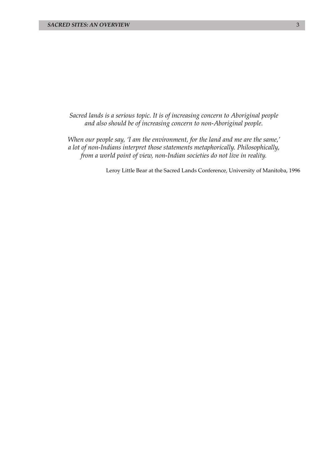*Sacred lands is a serious topic. It is of increasing concern to Aboriginal people and also should be of increasing concern to non-Aboriginal people.*

*When our people say, 'I am the environment, for the land and me are the same,' a lot of non-Indians interpret those statements metaphorically. Philosophically, from a world point of view, non-Indian societies do not live in reality.*

Leroy Little Bear at the Sacred Lands Conference, University of Manitoba, 1996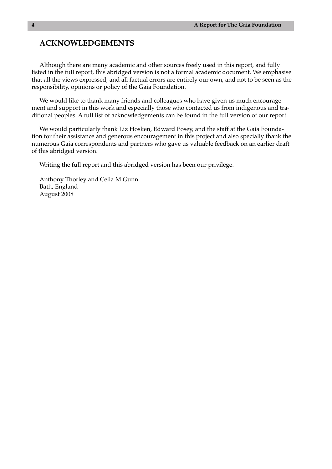# **ACKNOWLEDGEMENTS**

Although there are many academic and other sources freely used in this report, and fully listed in the full report, this abridged version is not a formal academic document. We emphasise that all the views expressed, and all factual errors are entirely our own, and not to be seen as the responsibility, opinions or policy of the Gaia Foundation.

We would like to thank many friends and colleagues who have given us much encouragement and support in this work and especially those who contacted us from indigenous and traditional peoples. A full list of acknowledgements can be found in the full version of our report.

We would particularly thank Liz Hosken, Edward Posey, and the staff at the Gaia Foundation for their assistance and generous encouragement in this project and also specially thank the numerous Gaia correspondents and partners who gave us valuable feedback on an earlier draft of this abridged version.

Writing the full report and this abridged version has been our privilege.

Anthony Thorley and Celia M Gunn Bath, England August 2008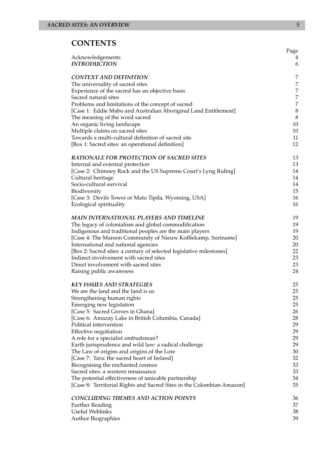# **CONTENTS**

|                                                                                    | Page             |
|------------------------------------------------------------------------------------|------------------|
| Acknowledgements<br><b>INTRODUCTION</b>                                            | 4<br>6           |
| <b>CONTEXT AND DEFINITION</b>                                                      | 7                |
| The universality of sacred sites                                                   | 7                |
| Experience of the sacred has an objective basis                                    | 7                |
| Sacred natural sites                                                               | $\boldsymbol{7}$ |
| Problems and limitations of the concept of sacred                                  | $\boldsymbol{7}$ |
| [Case 1: Eddie Mabo and Australian Aboriginal Land Entitlement]                    | $\,8\,$          |
| The meaning of the word sacred                                                     | $\, 8$           |
| An organic living landscape                                                        | $10\,$           |
| Multiple claims on sacred sites                                                    | 10               |
| Towards a multi-cultural definition of sacred site                                 | 11<br>12         |
| [Box 1: Sacred sites: an operational definition]                                   |                  |
| <b>RATIONALE FOR PROTECTION OF SACRED SITES</b>                                    | 13               |
| Internal and external protection                                                   | 13               |
| [Case 2: Chimney Rock and the US Supreme Court's Lyng Ruling]<br>Cultural heritage | 14<br>14         |
| Socio-cultural survival                                                            | 14               |
| Biodiversity                                                                       | 15               |
| [Case 3: Devils Tower or Mato Tipila, Wyoming, USA]                                | 16               |
| Ecological spirituality                                                            | 16               |
| <b>MAIN INTERNATIONAL PLAYERS AND TIMELINE</b>                                     | 19               |
| The legacy of colonialism and global commodification                               | 19               |
| Indigenous and traditional peoples are the main players                            | 19               |
| [Case 4: The Maroon Community of Nieuw Koffiekamp, Suriname]                       | 20               |
| International and national agencies                                                | 20               |
| [Box 2: Sacred sites: a century of selected legislative milestones]                | 22               |
| Indirect involvement with sacred sites                                             | 23               |
| Direct involvement with sacred sites                                               | 23               |
| Raising public awareness                                                           | 24               |
| <b>KEY ISSUES AND STRATEGIES</b>                                                   | 25               |
| We are the land and the land is us                                                 | 25               |
| Strengthening human rights<br>Emerging new legislation                             | 25<br>25         |
| [Case 5: Sacred Groves in Ghana]                                                   | 26               |
| [Case 6: Amazay Lake in British Columbia, Canada]                                  | 28               |
| Political intervention                                                             | 29               |
| Effective negotiation                                                              | 29               |
| A role for a specialist ombudsman?                                                 | 29               |
| Earth jurisprudence and wild law: a radical challenge                              | 29               |
| The Law of origins and origins of the Lore                                         | 30               |
| [Case 7: Tara: the sacred heart of Ireland]                                        | 32               |
| Recognising the enchanted cosmos                                                   | 33               |
| Sacred sites: a western renaissance                                                | 33               |
| The potential effectiveness of amicable partnership                                | 34<br>35         |
| [Case 8: Territorial Rights and Sacred Sites in the Colombian Amazon]              |                  |
| <b>CONCLUDING THEMES AND ACTION POINTS</b>                                         | 36               |
| <b>Further Reading</b>                                                             | 37               |
| <b>Useful Weblinks</b>                                                             | 38               |
| <b>Author Biographies</b>                                                          | 39               |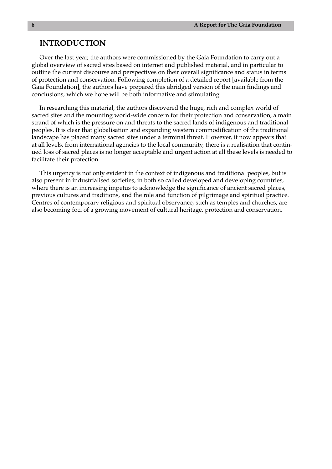### **INTRODUCTION**

Over the last year, the authors were commissioned by the Gaia Foundation to carry out a global overview of sacred sites based on internet and published material, and in particular to outline the current discourse and perspectives on their overall significance and status in terms of protection and conservation. Following completion of a detailed report [available from the Gaia Foundation], the authors have prepared this abridged version of the main findings and conclusions, which we hope will be both informative and stimulating.

In researching this material, the authors discovered the huge, rich and complex world of sacred sites and the mounting world-wide concern for their protection and conservation, a main strand of which is the pressure on and threats to the sacred lands of indigenous and traditional peoples. It is clear that globalisation and expanding western commodification of the traditional landscape has placed many sacred sites under a terminal threat. However, it now appears that at all levels, from international agencies to the local community, there is a realisation that continued loss of sacred places is no longer acceptable and urgent action at all these levels is needed to facilitate their protection.

This urgency is not only evident in the context of indigenous and traditional peoples, but is also present in industrialised societies, in both so called developed and developing countries, where there is an increasing impetus to acknowledge the significance of ancient sacred places, previous cultures and traditions, and the role and function of pilgrimage and spiritual practice. Centres of contemporary religious and spiritual observance, such as temples and churches, are also becoming foci of a growing movement of cultural heritage, protection and conservation.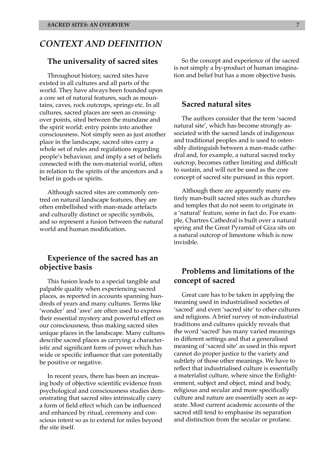# *CONTEXT AND DEFINITION*

### **The universality of sacred sites**

Throughout history, sacred sites have existed in all cultures and all parts of the world. They have always been founded upon a core set of natural features, such as mountains, caves, rock outcrops, springs etc. In all cultures, sacred places are seen as crossingover points, sited between the mundane and the spirit world: entry points into another consciousness. Not simply seen as just another place in the landscape, sacred sites carry a whole set of rules and regulations regarding people's behaviour, and imply a set of beliefs connected with the non-material world, often in relation to the spirits of the ancestors and a belief in gods or spirits.

Although sacred sites are commonly centred on natural landscape features, they are often embellished with man-made artefacts and culturally distinct or specific symbols, and so represent a fusion between the natural world and human modification.

# **Experience of the sacred has an objective basis**

This fusion leads to a special tangible and palpable quality when experiencing sacred places, as reported in accounts spanning hundreds of years and many cultures. Terms like 'wonder' and 'awe' are often used to express their essential mystery and powerful effect on our consciousness, thus making sacred sites unique places in the landscape. Many cultures describe sacred places as carrying a characteristic and significant form of power which has wide or specific influence that can potentially be positive or negative.

In recent years, there has been an increasing body of objective scientific evidence from psychological and consciousness studies demonstrating that sacred sites intrinsically carry a form of field effect which can be influenced and enhanced by ritual, ceremony and conscious intent so as to extend for miles beyond the site itself.

So the concept and experience of the sacred is not simply a by-product of human imagination and belief but has a more objective basis.

### **Sacred natural sites**

The authors consider that the term 'sacred natural site', which has become strongly associated with the sacred lands of indigenous and traditional peoples and is used to ostensibly distinguish between a man-made cathedral and, for example, a natural sacred rocky outcrop, becomes rather limiting and difficult to sustain, and will not be used as the core concept of sacred site pursued in this report.

Although there are apparently many entirely man-built sacred sites such as churches and temples that do not seem to originate in a 'natural' feature, some in fact do. For example, Chartres Cathedral is built over a natural spring and the Great Pyramid of Giza sits on a natural outcrop of limestone which is now invisible.

# **Problems and limitations of the concept of sacred**

Great care has to be taken in applying the meaning used in industrialised societies of 'sacred' and even 'sacred site' to other cultures and religions. A brief survey of non-industrial traditions and cultures quickly reveals that the word 'sacred' has many varied meanings in different settings and that a generalised meaning of 'sacred site' as used in this report cannot do proper justice to the variety and subtlety of those other meanings. We have to reflect that industrialised culture is essentially a materialist culture, where since the Enlightenment, subject and object, mind and body, religious and secular and more specifically culture and nature are essentially seen as separate. Most current academic accounts of the sacred still tend to emphasise its separation and distinction from the secular or profane.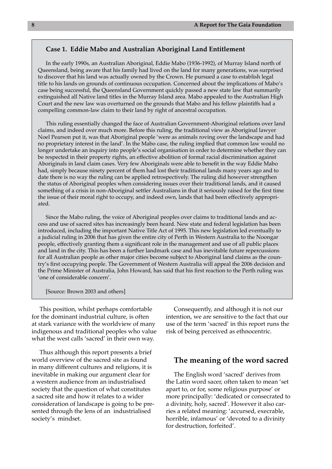#### **Case 1. Eddie Mabo and Australian Aboriginal Land Entitlement**

In the early 1990s, an Australian Aboriginal, Eddie Mabo (1936-1992), of Murray Island north of Queensland, being aware that his family had lived on the land for many generations, was surprised to discover that his land was actually owned by the Crown. He pursued a case to establish legal title to his lands on grounds of continuous occupation. Concerned about the implications of Mabo's case being successful, the Queensland Government quickly passed a new state law that summarily extinguished all Native land titles in the Murray Island area. Mabo appealed to the Australian High Court and the new law was overturned on the grounds that Mabo and his fellow plaintiffs had a compelling common-law claim to their land by right of ancestral occupation.

This ruling essentially changed the face of Australian Government-Aboriginal relations over land claims, and indeed over much more. Before this ruling, the traditional view as Aboriginal lawyer Noel Pearson put it, was that Aboriginal people 'were as animals roving over the landscape and had no proprietary interest in the land'. In the Mabo case, the ruling implied that common law would no longer undertake an inquiry into people's social organisation in order to determine whether they can be respected in their property rights, an effective abolition of formal racial discrimination against Aboriginals in land claim cases. Very few Aboriginals were able to benefit in the way Eddie Mabo had, simply because ninety percent of them had lost their traditional lands many years ago and to date there is no way the ruling can be applied retrospectively. The ruling did however strengthen the status of Aboriginal peoples when considering issues over their traditional lands, and it caused something of a crisis in non-Aboriginal settler Australians in that it seriously raised for the first time the issue of their moral right to occupy, and indeed own, lands that had been effectively appropriated.

Since the Mabo ruling, the voice of Aboriginal peoples over claims to traditional lands and access and use of sacred sites has increasingly been heard. New state and federal legislation has been introduced, including the important Native Title Act of 1995. This new legislation led eventually to a judicial ruling in 2006 that has given the entire city of Perth in Western Australia to the Noongar people, effectively granting them a significant role in the management and use of all public places and land in the city. This has been a further landmark case and has inevitable future repercussions for all Australian people as other major cities become subject to Aboriginal land claims as the country's first occupying people. The Government of Western Australia will appeal the 2006 decision and the Prime Minister of Australia, John Howard, has said that his first reaction to the Perth ruling was 'one of considerable concern'.

[Source: Brown 2003 and others]

This position, whilst perhaps comfortable for the dominant industrial culture, is often at stark variance with the worldview of many indigenous and traditional peoples who value what the west calls 'sacred' in their own way.

Thus although this report presents a brief world overview of the sacred site as found in many different cultures and religions, it is inevitable in making our argument clear for a western audience from an industrialised society that the question of what constitutes a sacred site and how it relates to a wider consideration of landscape is going to be presented through the lens of an industrialised society's mindset.

Consequently, and although it is not our intention, we are sensitive to the fact that our use of the term 'sacred' in this report runs the risk of being perceived as ethnocentric.

### **The meaning of the word sacred**

The English word 'sacred' derives from the Latin word sacer, often taken to mean 'set apart to, or for, some religious purpose' or more principally: 'dedicated or consecrated to a divinity, holy, sacred'. However it also carries a related meaning: 'accursed, execrable, horrible, infamous' or 'devoted to a divinity for destruction, forfeited'.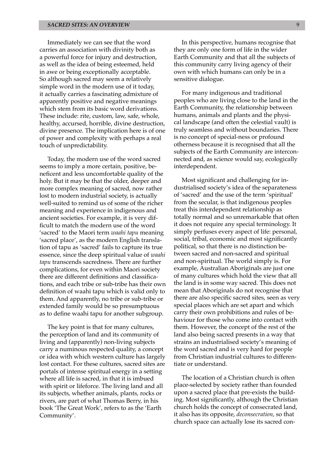Immediately we can see that the word carries an association with divinity both as a powerful force for injury and destruction, as well as the idea of being esteemed, held in awe or being exceptionally acceptable. So although sacred may seem a relatively simple word in the modern use of it today, it actually carries a fascinating admixture of apparently positive and negative meanings which stem from its basic word derivations. These include: rite, custom, law, safe, whole, healthy, accursed, horrible, divine destruction, divine presence. The implication here is of one of power and complexity with perhaps a real touch of unpredictability.

Today, the modern use of the word sacred seems to imply a more certain, positive, beneficent and less uncomfortable quality of the holy. But it may be that the older, deeper and more complex meaning of sacred, now rather lost to modern industrial society, is actually well-suited to remind us of some of the richer meaning and experience in indigenous and ancient societies. For example, it is very difficult to match the modern use of the word 'sacred' to the Maori term *waahi tapu* meaning 'sacred place', as the modern English translation of tapu as 'sacred' fails to capture its true essence, since the deep spiritual value of *waahi tapu* transcends sacredness. There are further complications, for even within Maori society there are different definitions and classifications, and each tribe or sub-tribe has their own definition of waahi tapu which is valid only to them. And apparently, no tribe or sub-tribe or extended family would be so presumptuous as to define waahi tapu for another subgroup.

The key point is that for many cultures, the perception of land and its community of living and (apparently) non-living subjects carry a numinous respected quality, a concept or idea with which western culture has largely lost contact. For these cultures, sacred sites are portals of intense spiritual energy in a setting where all life is sacred, in that it is imbued with spirit or lifeforce. The living land and all its subjects, whether animals, plants, rocks or rivers, are part of what Thomas Berry, in his book 'The Great Work', refers to as the 'Earth Community'.

In this perspective, humans recognise that they are only one form of life in the wider Earth Community and that all the subjects of this community carry living agency of their own with which humans can only be in a sensitive dialogue.

For many indigenous and traditional peoples who are living close to the land in the Earth Community, the relationship between humans, animals and plants and the physical landscape (and often the celestial vault) is truly seamless and without boundaries. There is no concept of special-ness or profound otherness because it is recognised that all the subjects of the Earth Community are interconnected and, as science would say, ecologically interdependent.

Most significant and challenging for industrialised society's idea of the separateness of 'sacred' and the use of the term 'spiritual' from the secular, is that indigenous peoples treat this interdependent relationship as totally normal and so unremarkable that often it does not require any special terminology. It simply perfuses every aspect of life: personal, social, tribal, economic and most significantly political, so that there is no distinction between sacred and non-sacred and spiritual and non-spiritual. The world simply is. For example, Australian Aboriginals are just one of many cultures which hold the view that all the land is in some way sacred. This does not mean that Aboriginals do not recognise that there are also specific sacred sites, seen as very special places which are set apart and which carry their own prohibitions and rules of behaviour for those who come into contact with them. However, the concept of the rest of the land also being sacred presents in a way that strains an industrialised society's meaning of the word sacred and is very hard for people from Christian industrial cultures to differentiate or understand.

The location of a Christian church is often place-selected by society rather than founded upon a sacred place that pre-exists the building. Most significantly, although the Christian church holds the concept of consecrated land, it also has its opposite, *deconsecration*, so that church space can actually lose its sacred con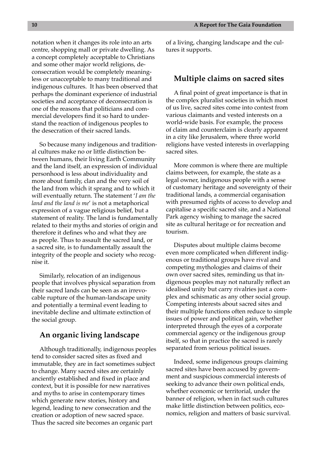notation when it changes its role into an arts centre, shopping mall or private dwelling. As a concept completely acceptable to Christians and some other major world religions, deconsecration would be completely meaningless or unacceptable to many traditional and indigenous cultures. It has been observed that perhaps the dominant experience of industrial societies and acceptance of deconsecration is one of the reasons that politicians and commercial developers find it so hard to understand the reaction of indigenous peoples to the desecration of their sacred lands.

So because many indigenous and traditional cultures make no or little distinction between humans, their living Earth Community and the land itself, an expression of individual personhood is less about individuality and more about family, clan and the very soil of the land from which it sprang and to which it will eventually return. The statement '*I am the land and the land is me*' is not a metaphorical expression of a vague religious belief, but a statement of reality. The land is fundamentally related to their myths and stories of origin and therefore it defines who and what they are as people. Thus to assault the sacred land, or a sacred site, is to fundamentally assault the integrity of the people and society who recognise it.

Similarly, relocation of an indigenous people that involves physical separation from their sacred lands can be seen as an irrevocable rupture of the human-landscape unity and potentially a terminal event leading to inevitable decline and ultimate extinction of the social group.

### **An organic living landscape**

Although traditionally, indigenous peoples tend to consider sacred sites as fixed and immutable, they are in fact sometimes subject to change. Many sacred sites are certainly anciently established and fixed in place and context, but it is possible for new narratives and myths to arise in contemporary times which generate new stories, history and legend, leading to new consecration and the creation or adoption of new sacred space. Thus the sacred site becomes an organic part

of a living, changing landscape and the cultures it supports.

### **Multiple claims on sacred sites**

A final point of great importance is that in the complex pluralist societies in which most of us live, sacred sites come into contest from various claimants and vested interests on a world-wide basis. For example, the process of claim and counterclaim is clearly apparent in a city like Jerusalem, where three world religions have vested interests in overlapping sacred sites.

More common is where there are multiple claims between, for example, the state as a legal owner, indigenous people with a sense of customary heritage and sovereignty of their traditional lands, a commercial organisation with presumed rights of access to develop and capitalise a specific sacred site, and a National Park agency wishing to manage the sacred site as cultural heritage or for recreation and tourism.

Disputes about multiple claims become even more complicated when different indigenous or traditional groups have rival and competing mythologies and claims of their own over sacred sites, reminding us that indigenous peoples may not naturally reflect an idealised unity but carry rivalries just a complex and schismatic as any other social group. Competing interests about sacred sites and their multiple functions often reduce to simple issues of power and political gain, whether interpreted through the eyes of a corporate commercial agency or the indigenous group itself, so that in practice the sacred is rarely separated from serious political issues.

Indeed, some indigenous groups claiming sacred sites have been accused by government and suspicious commercial interests of seeking to advance their own political ends, whether economic or territorial, under the banner of religion, when in fact such cultures make little distinction between politics, economics, religion and matters of basic survival.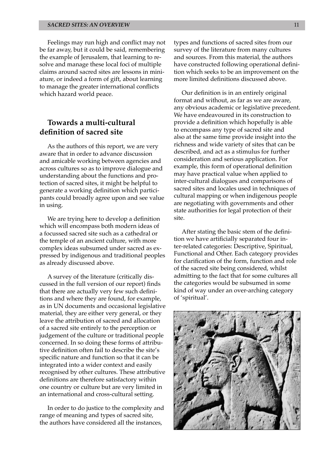#### **SACRED SITES: AN OVERVIEW 11 11**

Feelings may run high and conflict may not be far away, but it could be said, remembering the example of Jerusalem, that learning to resolve and manage these local foci of multiple claims around sacred sites are lessons in miniature, or indeed a form of gift, about learning to manage the greater international conflicts which hazard world peace.

# **Towards a multi-cultural definition of sacred site**

As the authors of this report, we are very aware that in order to advance discussion and amicable working between agencies and across cultures so as to improve dialogue and understanding about the functions and protection of sacred sites, it might be helpful to generate a working definition which participants could broadly agree upon and see value in using.

We are trying here to develop a definition which will encompass both modern ideas of a focussed sacred site such as a cathedral or the temple of an ancient culture, with more complex ideas subsumed under sacred as expressed by indigenous and traditional peoples as already discussed above.

A survey of the literature (critically discussed in the full version of our report) finds that there are actually very few such definitions and where they are found, for example, as in UN documents and occasional legislative material, they are either very general, or they leave the attribution of sacred and allocation of a sacred site entirely to the perception or judgement of the culture or traditional people concerned. In so doing these forms of attributive definition often fail to describe the site's specific nature and function so that it can be integrated into a wider context and easily recognised by other cultures. These attributive definitions are therefore satisfactory within one country or culture but are very limited in an international and cross-cultural setting.

In order to do justice to the complexity and range of meaning and types of sacred site, the authors have considered all the instances,

types and functions of sacred sites from our survey of the literature from many cultures and sources. From this material, the authors have constructed following operational definition which seeks to be an improvement on the more limited definitions discussed above.

Our definition is in an entirely original format and without, as far as we are aware, any obvious academic or legislative precedent. We have endeavoured in its construction to provide a definition which hopefully is able to encompass any type of sacred site and also at the same time provide insight into the richness and wide variety of sites that can be described, and act as a stimulus for further consideration and serious application. For example, this form of operational definition may have practical value when applied to inter-cultural dialogues and comparisons of sacred sites and locales used in techniques of cultural mapping or when indigenous people are negotiating with governments and other state authorities for legal protection of their site.

After stating the basic stem of the definition we have artificially separated four inter-related categories: Descriptive, Spiritual, Functional and Other. Each category provides for clarification of the form, function and role of the sacred site being considered, whilst admitting to the fact that for some cultures all the categories would be subsumed in some kind of way under an over-arching category of 'spiritual'.

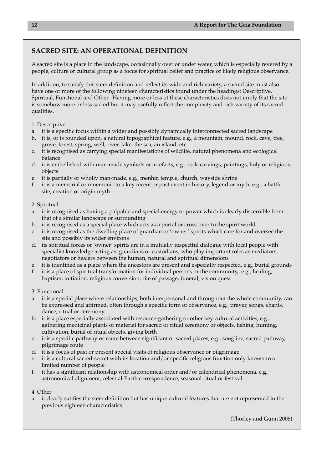# **SACRED SITE: AN OPERATIONAL DEFINITION**

A sacred site is a place in the landscape, occasionally over or under water, which is especially revered by a people, culture or cultural group as a focus for spiritual belief and practice or likely religious observance.

In addition, to satisfy this stem definition and reflect its wide and rich variety, a sacred site must also have one or more of the following nineteen characteristics found under the headings: Descriptive, Spiritual, Functional and Other. Having more or less of these characteristics does not imply that the site is somehow more or less sacred but it may usefully reflect the complexity and rich variety of its sacred qualities.

### 1. Descriptive

- a. it is a specific focus within a wider and possibly dynamically interconnected sacred landscape
- b. it is, or is founded upon, a natural topographical feature, e.g., a mountain, mound, rock, cave, tree, grove, forest, spring, well, river, lake, the sea, an island, etc
- it is recognised as carrying special manifestations of wildlife, natural phenomena and ecological balance c.
- d. it is embellished with man-made symbols or artefacts, e.g., rock-carvings, paintings, holy or religious objects
- it is partially or wholly man-made, e.g., menhir, temple, church, wayside shrine e.
- it is a memorial or mnemonic to a key recent or past event in history, legend or myth, e.g., a battle f. site, creation or origin myth

### 2. Spiritual

- a. it is recognised as having a palpable and special energy or power which is clearly discernible from that of a similar landscape or surrounding
- b.  $\;$  it is recognised as a special place which acts as a portal or cross-over to the spirit world
- c. it is recognised as the dwelling place of guardian or 'owner' spirits which care for and oversee the site and possibly its wider environs
- d. its spiritual forces or 'owner' spirits are in a mutually respectful dialogue with local people with specialist knowledge acting as guardians or custodians, who play important roles as mediators, negotiators or healers between the human, natural and spiritual dimensions
- it is identified as a place where the ancestors are present and especially respected, e.g., burial grounds e.
- f. it is a place of spiritual transformation for individual persons or the community, e.g., healing, baptism, initiation, religious conversion, rite of passage, funeral, vision quest

### 3. Functional

- a. it is a special place where relationships, both interpersonal and throughout the whole community, can be expressed and affirmed, often through a specific form of observance, e.g., prayer, songs, chants, dance, ritual or ceremony
- b.  $\;$  it is a place especially associated with resource-gathering or other key cultural activities, e.g., gathering medicinal plants or material for sacred or ritual ceremony or objects, fishing, hunting, cultivation, burial of ritual objects, giving birth
- it is a specific pathway or route between significant or sacred places, e.g., songline, sacred pathway, pilgrimage route c.
- d.  $\;$  it is a focus of past or present special visits of religious observance or pilgrimage
- e. it is a cultural sacred-secret with its location and/or specific religious function only known to a  $\,$ limited number of people
- f. it has a significant relationship with astronomical order and/or calendrical phenomena, e.g., astronomical alignment, celestial-Earth correspondence, seasonal ritual or festival

### 4. Other

a. it clearly satifies the stem definition but has unique cultural features that are not represented in the previous eighteen characteristics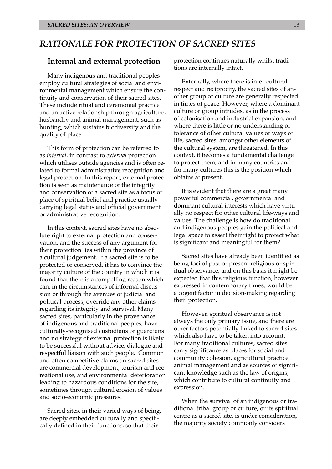# *RATIONALE FOR PROTECTION OF SACRED SITES*

### **Internal and external protection**

Many indigenous and traditional peoples employ cultural strategies of social and environmental management which ensure the continuity and conservation of their sacred sites. These include ritual and ceremonial practice and an active relationship through agriculture, husbandry and animal management, such as hunting, which sustains biodiversity and the quality of place.

This form of protection can be referred to as *internal*, in contrast to *external* protection which utilises outside agencies and is often related to formal administrative recognition and legal protection. In this report, external protection is seen as maintenance of the integrity and conservation of a sacred site as a focus or place of spiritual belief and practice usually carrying legal status and official government or administrative recognition.

In this context, sacred sites have no absolute right to external protection and conservation, and the success of any argument for their protection lies within the province of a cultural judgement. If a sacred site is to be protected or conserved, it has to convince the majority culture of the country in which it is found that there is a compelling reason which can, in the circumstances of informal discussion or through the avenues of judicial and political process, override any other claims regarding its integrity and survival. Many sacred sites, particularly in the provenance of indigenous and traditional peoples, have culturally-recognised custodians or guardians and no strategy of external protection is likely to be successful without advice, dialogue and respectful liaison with such people. Common and often competitive claims on sacred sites are commercial development, tourism and recreational use, and environmental deterioration leading to hazardous conditions for the site, sometimes through cultural erosion of values and socio-economic pressures.

Sacred sites, in their varied ways of being, are deeply embedded culturally and specifically defined in their functions, so that their

protection continues naturally whilst traditions are internally intact.

Externally, where there is inter-cultural respect and reciprocity, the sacred sites of another group or culture are generally respected in times of peace. However, where a dominant culture or group intrudes, as in the process of colonisation and industrial expansion, and where there is little or no understanding or tolerance of other cultural values or ways of life, sacred sites, amongst other elements of the cultural system, are threatened. In this context, it becomes a fundamental challenge to protect them, and in many countries and for many cultures this is the position which obtains at present.

It is evident that there are a great many powerful commercial, governmental and dominant cultural interests which have virtually no respect for other cultural life-ways and values. The challenge is how do traditional and indigenous peoples gain the political and legal space to assert their right to protect what is significant and meaningful for them?

Sacred sites have already been identified as being foci of past or present religious or spiritual observance, and on this basis it might be expected that this religious function, however expressed in contemporary times, would be a cogent factor in decision-making regarding their protection.

However, spiritual observance is not always the only primary issue, and there are other factors potentially linked to sacred sites which also have to be taken into account. For many traditional cultures, sacred sites carry significance as places for social and community cohesion, agricultural practice, animal management and as sources of significant knowledge such as the law of origins, which contribute to cultural continuity and expression.

When the survival of an indigenous or traditional tribal group or culture, or its spiritual centre as a sacred site, is under consideration, the majority society commonly considers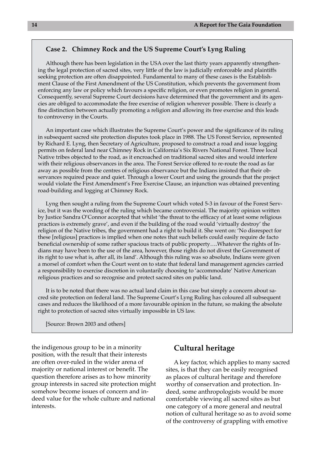#### **Case 2. Chimney Rock and the US Supreme Court's Lyng Ruling**

Although there has been legislation in the USA over the last thirty years apparently strengthening the legal protection of sacred sites, very little of the law is judicially enforceable and plaintiffs seeking protection are often disappointed. Fundamental to many of these cases is the Establishment Clause of the First Amendment of the US Constitution, which prevents the government from enforcing any law or policy which favours a specific religion, or even promotes religion in general. Consequently, several Supreme Court decisions have determined that the government and its agencies are obliged to accommodate the free exercise of religion wherever possible. There is clearly a fine distinction between actually promoting a religion and allowing its free exercise and this leads to controversy in the Courts.

An important case which illustrates the Supreme Court's power and the significance of its ruling in subsequent sacred site protection disputes took place in 1988. The US Forest Service, represented by Richard E. Lyng, then Secretary of Agriculture, proposed to construct a road and issue logging permits on federal land near Chimney Rock in California's Six Rivers National Forest. Three local Native tribes objected to the road, as it encroached on traditional sacred sites and would interfere with their religious observances in the area. The Forest Service offered to re-route the road as far away as possible from the centres of religious observance but the Indians insisted that their observances required peace and quiet. Through a lower Court and using the grounds that the project would violate the First Amendment's Free Exercise Clause, an injunction was obtained preventing road-building and logging at Chimney Rock.

Lyng then sought a ruling from the Supreme Court which voted 5-3 in favour of the Forest Service, but it was the wording of the ruling which became controversial. The majority opinion written by Justice Sandra O'Connor accepted that whilst 'the threat to the efficacy of at least some religious practices is extremely grave', and even if the building of the road would 'virtually destroy' the religion of the Native tribes, the government had a right to build it. She went on: 'No disrespect for these [religious] practices is implied when one notes that such beliefs could easily require de facto beneficial ownership of some rather spacious tracts of public property….Whatever the rights of Indians may have been to the use of the area, however, those rights do not divest the Government of its right to use what is, after all, its land'. Although this ruling was so absolute, Indians were given a morsel of comfort when the Court went on to state that federal land management agencies carried a responsibility to exercise discretion in voluntarily choosing to 'accommodate' Native American religious practices and so recognise and protect sacred sites on public land.

It is to be noted that there was no actual land claim in this case but simply a concern about sacred site protection on federal land. The Supreme Court's Lyng Ruling has coloured all subsequent cases and reduces the likelihood of a more favourable opinion in the future, so making the absolute right to protection of sacred sites virtually impossible in US law.

[Source: Brown 2003 and others]

the indigenous group to be in a minority position, with the result that their interests are often over-ruled in the wider arena of majority or national interest or benefit. The question therefore arises as to how minority group interests in sacred site protection might somehow become issues of concern and indeed value for the whole culture and national interests.

### **Cultural heritage**

A key factor, which applies to many sacred sites, is that they can be easily recognised as places of cultural heritage and therefore worthy of conservation and protection. Indeed, some anthropologists would be more comfortable viewing all sacred sites as but one category of a more general and neutral notion of cultural heritage so as to avoid some of the controversy of grappling with emotive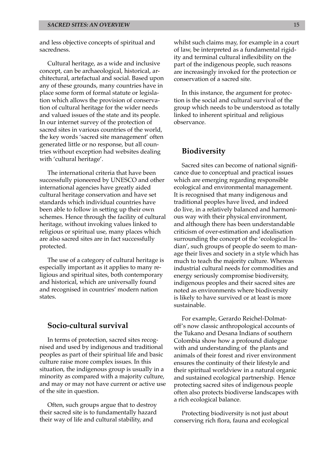and less objective concepts of spiritual and sacredness.

Cultural heritage, as a wide and inclusive concept, can be archaeological, historical, architectural, artefactual and social. Based upon any of these grounds, many countries have in place some form of formal statute or legislation which allows the provision of conservation of cultural heritage for the wider needs and valued issues of the state and its people. In our internet survey of the protection of sacred sites in various countries of the world, the key words 'sacred site management' often generated little or no response, but all countries without exception had websites dealing with 'cultural heritage'.

The international criteria that have been successfully pioneered by UNESCO and other international agencies have greatly aided cultural heritage conservation and have set standards which individual countries have been able to follow in setting up their own schemes. Hence through the facility of cultural heritage, without invoking values linked to religious or spiritual use, many places which are also sacred sites are in fact successfully protected.

The use of a category of cultural heritage is especially important as it applies to many religious and spiritual sites, both contemporary and historical, which are universally found and recognised in countries' modern nation states.

### **Socio-cultural survival**

In terms of protection, sacred sites recognised and used by indigenous and traditional peoples as part of their spiritual life and basic culture raise more complex issues. In this situation, the indigenous group is usually in a minority as compared with a majority culture, and may or may not have current or active use of the site in question.

Often, such groups argue that to destroy their sacred site is to fundamentally hazard their way of life and cultural stability, and

whilst such claims may, for example in a court of law, be interpreted as a fundamental rigidity and terminal cultural inflexibility on the part of the indigenous people, such reasons are increasingly invoked for the protection or conservation of a sacred site.

In this instance, the argument for protection is the social and cultural survival of the group which needs to be understood as totally linked to inherent spiritual and religious observance.

### **Biodiversity**

Sacred sites can become of national significance due to conceptual and practical issues which are emerging regarding responsible ecological and environmental management. It is recognised that many indigenous and traditional peoples have lived, and indeed do live, in a relatively balanced and harmonious way with their physical environment, and although there has been understandable criticism of over-estimation and idealisation surrounding the concept of the 'ecological Indian', such groups of people do seem to manage their lives and society in a style which has much to teach the majority culture. Whereas industrial cultural needs for commodities and energy seriously compromise biodiversity, indigenous peoples and their sacred sites are noted as environments where biodiversity is likely to have survived or at least is more sustainable.

For example, Gerardo Reichel-Dolmatoff's now classic anthropological accounts of the Tukano and Desana Indians of southern Colombia show how a profound dialogue with and understanding of the plants and animals of their forest and river environment ensures the continuity of their lifestyle and their spiritual worldview in a natural organic and sustained ecological partnership. Hence protecting sacred sites of indigenous people often also protects biodiverse landscapes with a rich ecological balance.

Protecting biodiversity is not just about conserving rich flora, fauna and ecological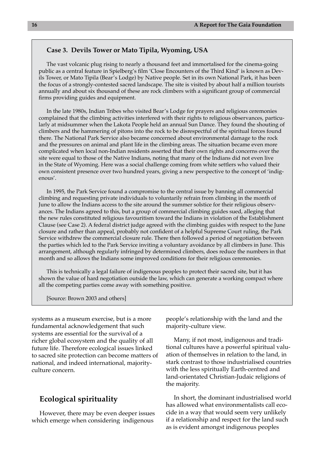#### **Case 3. Devils Tower or Mato Tipila, Wyoming, USA**

The vast volcanic plug rising to nearly a thousand feet and immortalised for the cinema-going public as a central feature in Spielberg's film 'Close Encounters of the Third Kind' is known as Devils Tower, or Mato Tipila (Bear's Lodge) by Native people. Set in its own National Park, it has been the focus of a strongly-contested sacred landscape. The site is visited by about half a million tourists annually and about six thousand of these are rock climbers with a significant group of commercial firms providing guides and equipment.

In the late 1980s, Indian Tribes who visited Bear's Lodge for prayers and religious ceremonies complained that the climbing activities interfered with their rights to religious observances, particularly at midsummer when the Lakota People held an annual Sun Dance. They found the shouting of climbers and the hammering of pitons into the rock to be disrespectful of the spiritual forces found there. The National Park Service also became concerned about environmental damage to the rock and the pressures on animal and plant life in the climbing areas. The situation became even more complicated when local non-Indian residents asserted that their own rights and concerns over the site were equal to those of the Native Indians, noting that many of the Indians did not even live in the State of Wyoming. Here was a social challenge coming from white settlers who valued their own consistent presence over two hundred years, giving a new perspective to the concept of 'indigenous'.

In 1995, the Park Service found a compromise to the central issue by banning all commercial climbing and requesting private individuals to voluntarily refrain from climbing in the month of June to allow the Indians access to the site around the summer solstice for their religious observances. The Indians agreed to this, but a group of commercial climbing guides sued, alleging that the new rules constituted religious favouritism toward the Indians in violation of the Establishment Clause (see Case 2). A federal district judge agreed with the climbing guides with respect to the June closure and rather than appeal, probably not confident of a helpful Supreme Court ruling, the Park Service withdrew the commercial closure rule. There then followed a period of negotiation between the parties which led to the Park Service inviting a voluntary avoidance by all climbers in June. This arrangement, although regularly infringed by determined climbers, does reduce the numbers in that month and so allows the Indians some improved conditions for their religious ceremonies.

This is technically a legal failure of indigenous peoples to protect their sacred site, but it has shown the value of hard negotiation outside the law, which can generate a working compact where all the competing parties come away with something positive.

[Source: Brown 2003 and others]

systems as a museum exercise, but is a more fundamental acknowledgement that such systems are essential for the survival of a richer global ecosystem and the quality of all future life. Therefore ecological issues linked to sacred site protection can become matters of national, and indeed international, majorityculture concern.

# **Ecological spirituality**

However, there may be even deeper issues which emerge when considering indigenous

people's relationship with the land and the majority-culture view.

Many, if not most, indigenous and traditional cultures have a powerful spiritual valuation of themselves in relation to the land, in stark contrast to those industrialised countries with the less spiritually Earth-centred and land-orientated Christian-Judaic religions of the majority.

In short, the dominant industrialised world has allowed what environmentalists call ecocide in a way that would seem very unlikely if a relationship and respect for the land such as is evident amongst indigenous peoples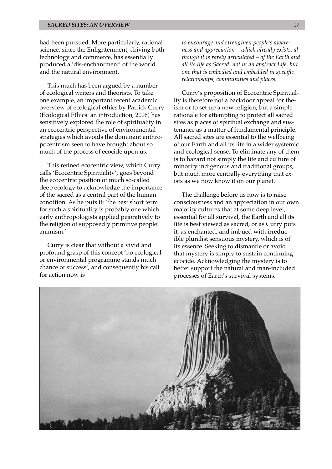had been pursued. More particularly, rational science, since the Enlightenment, driving both technology and commerce, has essentially produced a 'dis-enchantment' of the world and the natural environment.

This much has been argued by a number of ecological writers and theorists. To take one example, an important recent academic overview of ecological ethics by Patrick Curry (Ecological Ethics: an introduction, 2006) has sensitively explored the role of spirituality in an ecocentric perspective of environmental strategies which avoids the dominant anthropocentrism seen to have brought about so much of the process of ecocide upon us.

This refined ecocentric view, which Curry calls 'Ecocentric Spirituality', goes beyond the ecocentric position of much so-called deep ecology to acknowledge the importance of the sacred as a central part of the human condition. As he puts it: 'the best short term for such a spirituality is probably one which early anthropologists applied pejoratively to the religion of supposedly primitive people: animism.'

Curry is clear that without a vivid and profound grasp of this concept 'no ecological or environmental programme stands much chance of success', and consequently his call for action now is

*to encourage and strengthen people's awareness and appreciation – which already exists, although it is rarely articulated – of the Earth and all its life as Sacred: not in an abstract Life, but one that is embodied and embedded in specific relationships, communities and places.*

Curry's proposition of Ecocentric Spirituality is therefore not a backdoor appeal for theism or to set up a new religion, but a simple rationale for attempting to protect all sacred sites as places of spiritual exchange and sustenance as a matter of fundamental principle. All sacred sites are essential to the wellbeing of our Earth and all its life in a wider systemic and ecological sense. To eliminate any of them is to hazard not simply the life and culture of minority indigenous and traditional groups, but much more centrally everything that exists as we now know it on our planet.

The challenge before us now is to raise consciousness and an appreciation in our own majority cultures that at some deep level, essential for all survival, the Earth and all its life is best viewed as sacred, or as Curry puts it, as enchanted, and imbued with irreducible pluralist sensuous mystery, which is of its essence. Seeking to dismantle or avoid that mystery is simply to sustain continuing ecocide. Acknowledging the mystery is to better support the natural and man-included processes of Earth's survival systems.

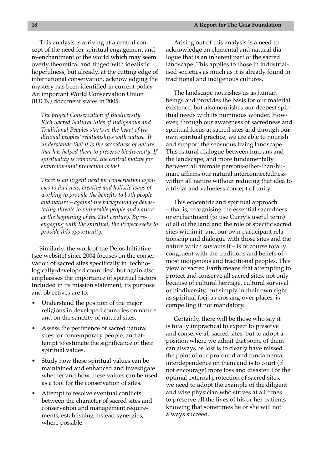This analysis is arriving at a central concept of the need for spiritual engagement and re-enchantment of the world which may seem overly theoretical and tinged with idealistic hopefulness, but already, at the cutting edge of international conservation, acknowledging the mystery has been identified in current policy. An important World Conservation Union (IUCN) document states in 2005:

*The project Conservation of Biodiversity Rich Sacred Natural Sites of Indigenous and Traditional Peoples starts at the heart of traditional peoples' relationships with nature. It understands that it is the sacredness of nature that has helped them to preserve biodiversity. If spirituality is removed, the central motive for environmental protection is lost.*

*There is an urgent need for conservation agencies to find new, creative and holistic ways of working to provide the benefits to both people and nature – against the background of devastating threats to vulnerable people and nature at the beginning of the 21st century. By reengaging with the spiritual, the Project seeks to provide this opportunity.*

Similarly, the work of the Delos Initiative (see website) since 2004 focuses on the conservation of sacred sites specifically in 'technologically-developed countries', but again also emphasises the importance of spiritual factors. Included in its mission statement, its purpose and objectives are to:

- Understand the position of the major religions in developed countries on nature and on the sanctity of natural sites. •
- Assess the pertinence of sacred natural sites for contemporary people, and attempt to estimate the significance of their spiritual values. •
- Study how these spiritual values can be maintained and enhanced and investigate whether and how these values can be used as a tool for the conservation of sites. •
- Attempt to resolve eventual conflicts between the character of sacred sites and conservation and management requirements, establishing instead synergies, where possible. •

Arising out of this analysis is a need to acknowledge an elemental and natural dialogue that is an inherent part of the sacred landscape. This applies to those in industrialised societies as much as it is already found in traditional and indigenous cultures.

The landscape nourishes us as human beings and provides the basis for our material existence, but also nourishes our deepest spiritual needs with its numinous wonder. However, through our awareness of sacredness and spiritual focus at sacred sites and through our own spiritual practice, we are able to nourish and support the sensuous living landscape. This natural dialogue between humans and the landscape, and more fundamentally between all animate persons-other-than-human, affirms our natural interconnectedness within all nature without reducing that idea to a trivial and valueless concept of unity.

This ecocentric and spiritual approach – that is, recognising the essential sacredness or enchantment (to use Curry's useful term) of all of the land and the role of specific sacred sites within it, and our own participant relationship and dialogue with those sites and the nature which sustains it – is of course totally congruent with the traditions and beliefs of most indigenous and traditional peoples. This view of sacred Earth means that attempting to protect and conserve all sacred sites, not only because of cultural heritage, cultural survival or biodiversity, but simply in their own right as spiritual foci, as crossing-over places, is compelling if not mandatory.

Certainly, there will be those who say it is totally impractical to expect to preserve and conserve all sacred sites, but to adopt a position where we admit that some of them can always be lost is to clearly have missed the point of our profound and fundamental interdependence on them and is to court (if not encourage) more loss and disaster. For the optimal external protection of sacred sites, we need to adopt the example of the diligent and wise physician who strives at all times to preserve all the lives of his or her patients knowing that sometimes he or she will not always succeed.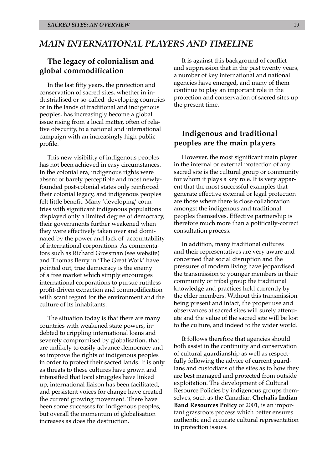# *MAIN INTERNATIONAL PLAYERS AND TIMELINE*

# **The legacy of colonialism and global commodification**

In the last fifty years, the protection and conservation of sacred sites, whether in industrialised or so-called developing countries or in the lands of traditional and indigenous peoples, has increasingly become a global issue rising from a local matter, often of relative obscurity, to a national and international campaign with an increasingly high public profile.

This new visibility of indigenous peoples has not been achieved in easy circumstances. In the colonial era, indigenous rights were absent or barely perceptible and most newlyfounded post-colonial states only reinforced their colonial legacy, and indigenous peoples felt little benefit. Many 'developing' countries with significant indigenous populations displayed only a limited degree of democracy, their governments further weakened when they were effectively taken over and dominated by the power and lack of accountability of international corporations. As commentators such as Richard Grossman (see website) and Thomas Berry in 'The Great Work' have pointed out, true democracy is the enemy of a free market which simply encourages international corporations to pursue ruthless profit-driven extraction and commodification with scant regard for the environment and the culture of its inhabitants.

The situation today is that there are many countries with weakened state powers, indebted to crippling international loans and severely compromised by globalisation, that are unlikely to easily advance democracy and so improve the rights of indigenous peoples in order to protect their sacred lands. It is only as threats to these cultures have grown and intensified that local struggles have linked up, international liaison has been facilitated, and persistent voices for change have created the current growing movement. There have been some successes for indigenous peoples, but overall the momentum of globalisation increases as does the destruction.

It is against this background of conflict and suppression that in the past twenty years, a number of key international and national agencies have emerged, and many of them continue to play an important role in the protection and conservation of sacred sites up the present time.

# **Indigenous and traditional peoples are the main players**

However, the most significant main player in the internal or external protection of any sacred site is the cultural group or community for whom it plays a key role. It is very apparent that the most successful examples that generate effective external or legal protection are those where there is close collaboration amongst the indigenous and traditional peoples themselves. Effective partnership is therefore much more than a politically-correct consultation process.

In addition, many traditional cultures and their representatives are very aware and concerned that social disruption and the pressures of modern living have jeopardised the transmission to younger members in their community or tribal group the traditional knowledge and practices held currently by the elder members. Without this transmission being present and intact, the proper use and observances at sacred sites will surely attenuate and the value of the sacred site will be lost to the culture, and indeed to the wider world.

It follows therefore that agencies should both assist in the continuity and conservation of cultural guardianship as well as respectfully following the advice of current guardians and custodians of the sites as to how they are best managed and protected from outside exploitation. The development of Cultural Resource Policies by indigenous groups themselves, such as the Canadian **Chehalis Indian Band Resources Policy** of 2001, is an important grassroots process which better ensures authentic and accurate cultural representation in protection issues.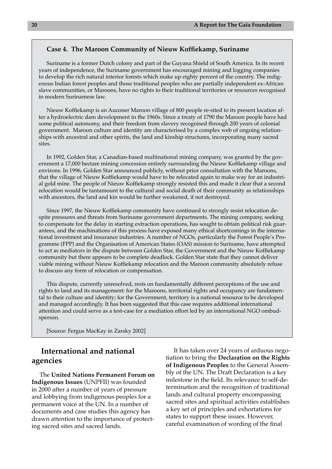#### **Case 4. The Maroon Community of Nieuw Koffiekamp, Suriname**

Suriname is a former Dutch colony and part of the Guyana Shield of South America. In its recent years of independence, the Suriname government has encouraged mining and logging companies to develop the rich natural interior forests which make up eighty percent of the country. The indigenous Indian forest peoples and those traditional peoples who are partially independent ex-African slave communities, or Maroons, have no rights to their traditional territories or resources recognised in modern Surinamese law.

Nieuw Koffiekamp is an Auconer Maroon village of 800 people re-sited to its present location after a hydroelectric dam development in the 1960s. Since a treaty of 1790 the Maroon people have had some political autonomy, and their freedom from slavery recognised through 200 years of colonial government. Maroon culture and identity are characterised by a complex web of ongoing relationships with ancestral and other spirits, the land and kinship structures, incorporating many sacred sites.

In 1992, Golden Star, a Canadian-based multinational mining company, was granted by the government a 17,000 hectare mining concession entirely surrounding the Nieuw Koffiekamp village and environs. In 1996, Golden Star announced publicly, without prior consultation with the Maroons, that the village of Nieuw Koffiekamp would have to be relocated again to make way for an industrial gold mine. The people of Nieuw Koffiekamp strongly resisted this and made it clear that a second relocation would be tantamount to the cultural and social death of their community as relationships with ancestors, the land and kin would be further weakened, if not destroyed.

Since 1997, the Nieuw Koffiekamp community have continued to strongly resist relocation despite pressures and threats from Suriname government departments. The mining company, seeking to compensate for the delay in starting extraction operations, has sought to obtain political risk guarantees, and the machinations of this process have exposed many ethical shortcomings in the international investment and insurance industries. A number of NGOs, particularly the Forest People's Programme (FPP) and the Organisation of American States (OAS) mission to Suriname, have attempted to act as mediators in the dispute between Golden Star, the Government and the Nieuw Koffiekamp community but there appears to be complete deadlock. Golden Star state that they cannot deliver viable mining without Nieuw Koffiekamp relocation and the Maroon community absolutely refuse to discuss any form of relocation or compensation.

This dispute, currently unresolved, rests on fundamentally different perceptions of the use and rights to land and its management: for the Maroons, territorial rights and occupancy are fundamental to their culture and identity; for the Government, territory is a national resource to be developed and managed accordingly. It has been suggested that this case requires additional international attention and could serve as a test-case for a mediation effort led by an international NGO ombudsperson.

[Source: Fergus MacKay in Zarsky 2002]

# **International and national agencies**

The **United Nations Permanent Forum on Indigenous Issues** (UNPFII) was founded in 2000 after a number of years of pressure and lobbying from indigenous peoples for a permanent voice at the UN. In a number of documents and case studies this agency has drawn attention to the importance of protecting sacred sites and sacred lands.

It has taken over 24 years of arduous negotiation to bring the **Declaration on the Rights of Indigenous Peoples** to the General Assembly of the UN. The Draft Declaration is a key milestone in the field. Its relevance to self-determination and the recognition of traditional lands and cultural property encompassing sacred sites and spiritual activities establishes a key set of principles and exhortations for states to support these issues. However, careful examination of wording of the final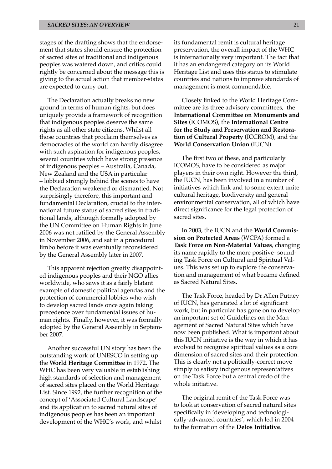stages of the drafting shows that the endorsement that states should ensure the protection of sacred sites of traditional and indigenous peoples was watered down, and critics could rightly be concerned about the message this is giving to the actual action that member-states are expected to carry out.

The Declaration actually breaks no new ground in terms of human rights, but does uniquely provide a framework of recognition that indigenous peoples deserve the same rights as all other state citizens. Whilst all those countries that proclaim themselves as democracies of the world can hardly disagree with such aspiration for indigenous peoples, several countries which have strong presence of indigenous peoples – Australia, Canada, New Zealand and the USA in particular – lobbied strongly behind the scenes to have the Declaration weakened or dismantled. Not surprisingly therefore, this important and fundamental Declaration, crucial to the international future status of sacred sites in traditional lands, although formally adopted by the UN Committee on Human Rights in June 2006 was not ratified by the General Assembly in November 2006, and sat in a procedural limbo before it was eventually reconsidered by the General Assembly later in 2007.

This apparent rejection greatly disappointed indigenous peoples and their NGO allies worldwide, who saws it as a fairly blatant example of domestic political agendas and the protection of commercial lobbies who wish to develop sacred lands once again taking precedence over fundamental issues of human rights. Finally, however, it was formally adopted by the General Assembly in September 2007.

Another successful UN story has been the outstanding work of UNESCO in setting up the **World Heritage Committee** in 1972. The WHC has been very valuable in establishing high standards of selection and management of sacred sites placed on the World Heritage List. Since 1992, the further recognition of the concept of 'Associated Cultural Landscape' and its application to sacred natural sites of indigenous peoples has been an important development of the WHC's work, and whilst its fundamental remit is cultural heritage preservation, the overall impact of the WHC is internationally very important. The fact that it has an endangered category on its World Heritage List and uses this status to stimulate countries and nations to improve standards of management is most commendable.

Closely linked to the World Heritage Committee are its three advisory committees, the **International Committee on Monuments and Sites** (ICOMOS), the **International Centre for the Study and Preservation and Restoration of Cultural Property** (ICCROM), and the **World Conservation Union** (IUCN).

The first two of these, and particularly ICOMOS, have to be considered as major players in their own right. However the third, the IUCN, has been involved in a number of initiatives which link and to some extent unite cultural heritage, biodiversity and general environmental conservation, all of which have direct significance for the legal protection of sacred sites.

In 2003, the IUCN and the **World Commission on Protected Areas** (WCPA) formed a **Task Force on Non-Material Values**, changing its name rapidly to the more positive- sounding Task Force on Cultural and Spiritual Values. This was set up to explore the conservation and management of what became defined as Sacred Natural Sites.

The Task Force, headed by Dr Allen Putney of IUCN, has generated a lot of significant work, but in particular has gone on to develop an important set of Guidelines on the Management of Sacred Natural Sites which have now been published. What is important about this IUCN initiative is the way in which it has evolved to recognise spiritual values as a core dimension of sacred sites and their protection. This is clearly not a politically-correct move simply to satisfy indigenous representatives on the Task Force but a central credo of the whole initiative.

The original remit of the Task Force was to look at conservation of sacred natural sites specifically in 'developing and technologically-advanced countries', which led in 2004 to the formation of the **Delos Initiative**.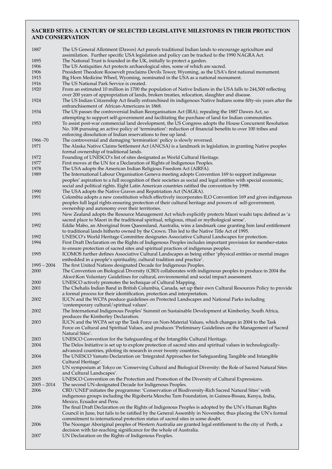#### **SACRED SITES: A CENTURY OF SELECTED LEGISLATIVE MILESTONES IN THEIR PROTECTION AND CONSERVATION**

| 1887          | The US General Allotment (Dawes) Act parcels traditional Indian lands to encourage agriculture and<br>assimilation. Further specific USA legislation and policy can be tracked to the 1990 NAGRA Act. |
|---------------|-------------------------------------------------------------------------------------------------------------------------------------------------------------------------------------------------------|
| 1895          | The National Trust is founded in the UK, initially to protect a garden.                                                                                                                               |
| 1906          | The US Antiquities Act protects archaeological sites, some of which are sacred.                                                                                                                       |
| 1906          | President Theodore Roosevelt proclaims Devils Tower, Wyoming, as the USA's first national monument.                                                                                                   |
| 1915          | Big Horn Medicine Wheel, Wyoming, nominated in the USA as a national monument.                                                                                                                        |
| 1916          | The US National Park Service is created.                                                                                                                                                              |
| 1920          | From an estimated 10 million in 1700 the population of Native Indians in the USA falls to 244,500 reflecting                                                                                          |
|               | over 200 years of appropriation of lands, broken treaties, relocation, slaughter and disease.                                                                                                         |
| 1924          | The US Indian Citizenship Act finally enfranchised its indigenous Native Indians some fifty-six years after the                                                                                       |
|               | enfranchisement of African-Americans in 1868.                                                                                                                                                         |
| 1934          | The US passes the controversial Indian Reorganisation Act (IRA), repealing the 1887 Dawes Act, so                                                                                                     |
|               | attempting to support self-government and facilitating the purchase of land for Indian communities.                                                                                                   |
| 1953          | To assist post-war commercial land development, the US Congress adopts the House Concurrent Resolution                                                                                                |
|               | No. 108 pursuing an active policy of 'termination': reduction of financial benefits to over 100 tribes and                                                                                            |
|               | enforcing dissolution of Indian reservations to free up land.                                                                                                                                         |
| 1966 - 70     | The controversial and damaging 'termination' policy is slowly reversed.                                                                                                                               |
| 1971          |                                                                                                                                                                                                       |
|               | The Alaska Native Claims Settlement Act (ANCSA) is a landmark in legislation, in granting Native peoples                                                                                              |
| 1972          | formal ownership of traditional lands.                                                                                                                                                                |
|               | Founding of UNESCO's list of sites designated as World Cultural Heritage.                                                                                                                             |
| 1977          | First moves at the UN for a Declaration of Rights of Indigenous Peoples.                                                                                                                              |
| 1978          | The USA adopts the American Indian Religious Freedom Act (AIRFA).                                                                                                                                     |
| 1989          | The International Labour Organisation Geneva meeting adopts Convention 169 to support indigenous                                                                                                      |
|               | peoples' aspiration to a full recognition of their societies as social and legal entities with special economic,                                                                                      |
|               | social and political rights. Eight Latin American countries ratified the convention by 1998.                                                                                                          |
| 1990          | The USA adopts the Native Graves and Repatriation Act (NAGRA).                                                                                                                                        |
| 1991          | Colombia adopts a new constitution which effectively incorporates ILO Convention 169 and gives indigenous                                                                                             |
|               | peoples full legal rights ensuring protection of their cultural heritage and powers of self-government,                                                                                               |
|               | ownership and autonomy over their territories.                                                                                                                                                        |
| 1991          | New Zealand adopts the Resource Management Act which explicitly protects Maori waahi tapu defined as 'a                                                                                               |
|               | sacred place to Maori in the traditional spiritual, religious, ritual or mythological sense'.                                                                                                         |
| 1992          | Eddie Mabo, an Aboriginal from Queensland, Australia, wins a landmark case granting him land entitlement                                                                                              |
|               | to traditional lands hitherto owned by the Crown. This led to the Native Title Act of 1995.                                                                                                           |
| 1992          | UNESCO's World Heritage Committee designates Associative Cultural Landscapes for protection.                                                                                                          |
| 1994          | First Draft Declaration on the Rights of Indigenous Peoples includes important provision for member-states                                                                                            |
|               | to ensure protection of sacred sites and spiritual practices of indigenous peoples.                                                                                                                   |
| 1995          | ICOMOS further defines Associative Cultural Landscapes as being either 'physical entities or mental images                                                                                            |
|               | embedded in a people's spirituality, cultural tradition and practice'.                                                                                                                                |
| $1995 - 2004$ | The first United Nations designated Decade for Indigenous Peoples.                                                                                                                                    |
| 2000          | The Convention on Biological Diversity (CBD) collaborates with indigenous peoples to produce in 2004 the                                                                                              |
|               | Akwé:Kon Voluntary Guidelines for cultural, environmental and social impact assessment.                                                                                                               |
| 2000          | UNESCO actively promotes the technique of Cultural Mapping.                                                                                                                                           |
| 2001          | The Chehalis Indian Band in British Columbia, Canada, set up their own Cultural Resources Policy to provide                                                                                           |
|               | a formal process for their identification, protection and interpretation.                                                                                                                             |
| 2002          | IUCN and the WCPA produce guidelines on Protected Landscapes and National Parks including                                                                                                             |
|               | 'contemporary cultural/spiritual values'.                                                                                                                                                             |
| 2002          | The International Indigenous Peoples' Summit on Sustainable Development at Kimberley, South Africa,                                                                                                   |
|               | produces the Kimberley Declaration.                                                                                                                                                                   |
| 2003          | IUCN and the WCPA set up the Task Force on Non-Material Values, which changes in 2004 to the Task                                                                                                     |
|               | Force on Cultural and Spiritual Values, and produces 'Preliminary Guidelines on the Management of Sacred                                                                                              |
|               | Natural Sites'.                                                                                                                                                                                       |
| 2003          | UNESCO Convention for the Safeguarding of the Intangible Cultural Heritage.                                                                                                                           |
| 2004          | The Delos Initiative is set up to explore protection of sacred sites and spiritual values in technologically-                                                                                         |
|               | advanced countries, piloting its research in over twenty countries.                                                                                                                                   |
| 2004          | The UNESCO Yamato Declaration on 'Integrated Approaches for Safeguarding Tangible and Intangible                                                                                                      |
|               | Cultural Heritage'.                                                                                                                                                                                   |
| 2005          | UN symposium at Tokyo on 'Conserving Cultural and Biological Diversity: the Role of Sacred Natural Sites                                                                                              |
|               | and Cultural Landscapes'.                                                                                                                                                                             |
| 2005          | UNESCO Convention on the Protection and Promotion of the Diversity of Cultural Expressions.                                                                                                           |
| $2005 - 2014$ | The second UN-designated Decade for Indigenous Peoples.                                                                                                                                               |
| 2006          | CBD/UNEP initiates the programme: 'Conservation of Biodiversity-Rich Sacred Natural Sites' with                                                                                                       |
|               | indigenous groups including the Rigoberta Menchu Tum Foundation, in Guinea-Bissau, Kenya, India,                                                                                                      |
|               | Mexico, Ecuador and Peru.                                                                                                                                                                             |
| 2006          | The final Draft Declaration on the Rights of Indigenous Peoples is adopted by the UN's Human Rights                                                                                                   |
|               | Council in June, but fails to be ratified by the General Assembly in November, thus placing the UN's formal                                                                                           |
|               | commitment to international protection status of sacred sites in some doubt.                                                                                                                          |
| 2006          | The Noongar Aboriginal peoples of Western Australia are granted legal entitlement to the city of Perth, a                                                                                             |
|               | decision with far-reaching significance for the whole of Australia.                                                                                                                                   |
| 2007          | UN Declaration on the Rights of Indigenous Peoples.                                                                                                                                                   |
|               |                                                                                                                                                                                                       |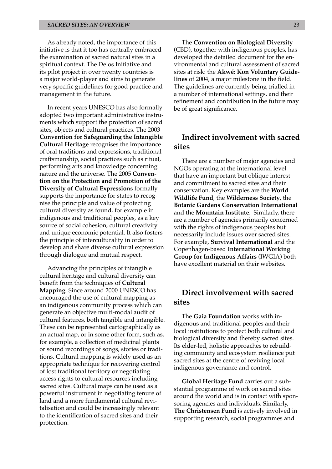As already noted, the importance of this initiative is that it too has centrally embraced the examination of sacred natural sites in a spiritual context. The Delos Initiative and its pilot project in over twenty countries is a major world-player and aims to generate very specific guidelines for good practice and management in the future.

In recent years UNESCO has also formally adopted two important administrative instruments which support the protection of sacred sites, objects and cultural practices. The 2003 **Convention for Safeguarding the Intangible Cultural Heritage** recognises the importance of oral traditions and expressions, traditional craftsmanship, social practices such as ritual, performing arts and knowledge concerning nature and the universe. The 2005 **Convention on the Protection and Promotion of the Diversity of Cultural Expression**s formally supports the importance for states to recognise the principle and value of protecting cultural diversity as found, for example in indigenous and traditional peoples, as a key source of social cohesion, cultural creativity and unique economic potential. It also fosters the principle of interculturality in order to develop and share diverse cultural expression through dialogue and mutual respect.

Advancing the principles of intangible cultural heritage and cultural diversity can benefit from the techniques of **Cultural Mapping**. Since around 2000 UNESCO has encouraged the use of cultural mapping as an indigenous community process which can generate an objective multi-modal audit of cultural features, both tangible and intangible. These can be represented cartographically as an actual map, or in some other form, such as, for example, a collection of medicinal plants or sound recordings of songs, stories or traditions. Cultural mapping is widely used as an appropriate technique for recovering control of lost traditional territory or negotiating access rights to cultural resources including sacred sites. Cultural maps can be used as a powerful instrument in negotiating tenure of land and a more fundamental cultural revitalisation and could be increasingly relevant to the identification of sacred sites and their protection.

The **Convention on Biological Diversity** (CBD), together with indigenous peoples, has developed the detailed document for the environmental and cultural assessment of sacred sites at risk: the **Akwé: Kon Voluntary Guidelines** of 2004, a major milestone in the field. The guidelines are currently being trialled in a number of international settings, and their refinement and contribution in the future may be of great significance.

# **Indirect involvement with sacred sites**

There are a number of major agencies and NGOs operating at the international level that have an important but oblique interest and commitment to sacred sites and their conservation. Key examples are the **World Wildlife Fund**, the **Wilderness Society**, the **Botanic Gardens Conservation International** and the **Mountain Institute**. Similarly, there are a number of agencies primarily concerned with the rights of indigenous peoples but necessarily include issues over sacred sites. For example, **Survival International** and the Copenhagen-based **International Working Group for Indigenous Affairs** (IWGIA) both have excellent material on their websites.

# **Direct involvement with sacred sites**

The **Gaia Foundation** works with indigenous and traditional peoples and their local institutions to protect both cultural and biological diversity and thereby sacred sites. Its elder-led, holistic approaches to rebuilding community and ecosystem resilience put sacred sites at the centre of reviving local indigenous governance and control.

**Global Heritage Fund** carries out a substantial programme of work on sacred sites around the world and is in contact with sponsoring agencies and individuals. Similarly, **The Christensen Fund** is actively involved in supporting research, social programmes and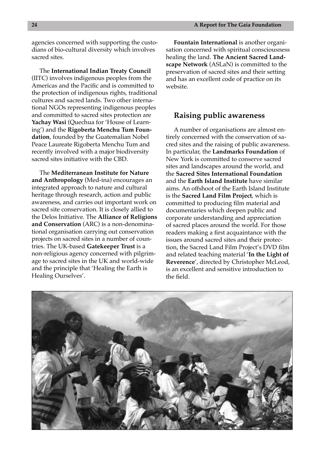agencies concerned with supporting the custodians of bio-cultural diversity which involves sacred sites.

The **International Indian Treaty Council** (IITC) involves indigenous peoples from the Americas and the Pacific and is committed to the protection of indigenous rights, traditional cultures and sacred lands. Two other international NGOs representing indigenous peoples and committed to sacred sites protection are **Yachay Wasi** (Quechua for 'House of Learning') and the **Rigoberta Menchu Tum Foundation**, founded by the Guatemalian Nobel Peace Laureate Rigoberta Menchu Tum and recently involved with a major biodiversity sacred sites initiative with the CBD.

The **Mediterranean Institute for Nature and Anthropology** (Med-ina) encourages an integrated approach to nature and cultural heritage through research, action and public awareness, and carries out important work on sacred site conservation. It is closely allied to the Delos Initiative. The **Alliance of Religions and Conservation** (ARC) is a non-denominational organisation carrying out conservation projects on sacred sites in a number of countries. The UK-based **Gatekeeper Trust** is a non-religious agency concerned with pilgrimage to sacred sites in the UK and world-wide and the principle that 'Healing the Earth is Healing Ourselves'.

**Fountain International** is another organisation concerned with spiritual consciousness healing the land. **The Ancient Sacred Landscape Network** (ASLaN) is committed to the preservation of sacred sites and their setting and has an excellent code of practice on its website.

### **Raising public awareness**

A number of organisations are almost entirely concerned with the conservation of sacred sites and the raising of public awareness. In particular, the **Landmarks Foundation** of New York is committed to conserve sacred sites and landscapes around the world, and the **Sacred Sites International Foundation** and the **Earth Island Institute** have similar aims. An offshoot of the Earth Island Institute is the **Sacred Land Film Project**, which is committed to producing film material and documentaries which deepen public and corporate understanding and appreciation of sacred places around the world. For those readers making a first acquaintance with the issues around sacred sites and their protection, the Sacred Land Film Project's DVD film and related teaching material '**In the Light of Reverence**', directed by Christopher McLeod, is an excellent and sensitive introduction to the field.

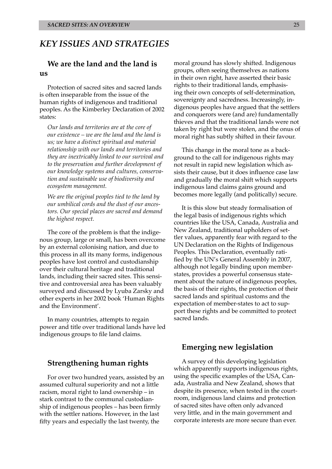# *KEY ISSUES AND STRATEGIES*

### **We are the land and the land is us**

Protection of sacred sites and sacred lands is often inseparable from the issue of the human rights of indigenous and traditional peoples. As the Kimberley Declaration of 2002 states:

*Our lands and territories are at the core of our existence – we are the land and the land is us; we have a distinct spiritual and material relationship with our lands and territories and they are inextricably linked to our survival and to the preservation and further development of our knowledge systems and cultures, conservation and sustainable use of biodiversity and ecosystem management.*

*We are the original peoples tied to the land by our umbilical cords and the dust of our ancestors. Our special places are sacred and demand the highest respect.*

The core of the problem is that the indigenous group, large or small, has been overcome by an external colonising nation, and due to this process in all its many forms, indigenous peoples have lost control and custodianship over their cultural heritage and traditional lands, including their sacred sites. This sensitive and controversial area has been valuably surveyed and discussed by Lyuba Zarsky and other experts in her 2002 book 'Human Rights and the Environment'.

In many countries, attempts to regain power and title over traditional lands have led indigenous groups to file land claims.

### **Strengthening human rights**

For over two hundred years, assisted by an assumed cultural superiority and not a little racism, moral right to land ownership – in stark contrast to the communal custodianship of indigenous peoples – has been firmly with the settler nations. However, in the last fifty years and especially the last twenty, the

moral ground has slowly shifted. Indigenous groups, often seeing themselves as nations in their own right, have asserted their basic rights to their traditional lands, emphasising their own concepts of self-determination, sovereignty and sacredness. Increasingly, indigenous peoples have argued that the settlers and conquerors were (and are) fundamentally thieves and that the traditional lands were not taken by right but were stolen, and the onus of moral right has subtly shifted in their favour.

This change in the moral tone as a background to the call for indigenous rights may not result in rapid new legislation which assists their cause, but it does influence case law and gradually the moral shift which supports indigenous land claims gains ground and becomes more legally (and politically) secure.

It is this slow but steady formalisation of the legal basis of indigenous rights which countries like the USA, Canada, Australia and New Zealand, traditional upholders of settler values, apparently fear with regard to the UN Declaration on the Rights of Indigenous Peoples. This Declaration, eventually ratified by the UN's General Assembly in 2007, although not legally binding upon memberstates, provides a powerful consensus statement about the nature of indigenous peoples, the basis of their rights, the protection of their sacred lands and spiritual customs and the expectation of member-states to act to support these rights and be committed to protect sacred lands.

### **Emerging new legislation**

A survey of this developing legislation which apparently supports indigenous rights, using the specific examples of the USA, Canada, Australia and New Zealand, shows that despite its presence, when tested in the courtroom, indigenous land claims and protection of sacred sites have often only advanced very little, and in the main government and corporate interests are more secure than ever.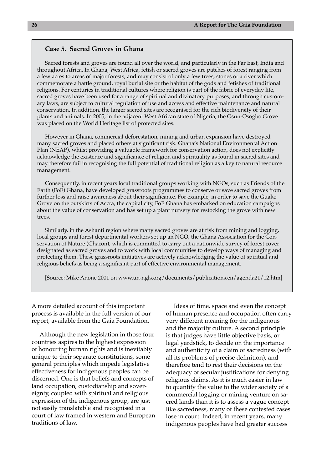#### **Case 5. Sacred Groves in Ghana**

Sacred forests and groves are found all over the world, and particularly in the Far East, India and throughout Africa. In Ghana, West Africa, fetish or sacred groves are patches of forest ranging from a few acres to areas of major forests, and may consist of only a few trees, stones or a river which commemorate a battle ground, royal burial site or the habitat of the gods and fetishes of traditional religions. For centuries in traditional cultures where religion is part of the fabric of everyday life, sacred groves have been used for a range of spiritual and divinatory purposes, and through customary laws, are subject to cultural regulation of use and access and effective maintenance and natural conservation. In addition, the larger sacred sites are recognised for the rich biodiversity of their plants and animals. In 2005, in the adjacent West African state of Nigeria, the Osun-Osogbo Grove was placed on the World Heritage list of protected sites.

However in Ghana, commercial deforestation, mining and urban expansion have destroyed many sacred groves and placed others at significant risk. Ghana's National Environmental Action Plan (NEAP), whilst providing a valuable framework for conservation action, does not explicitly acknowledge the existence and significance of religion and spirituality as found in sacred sites and may therefore fail in recognising the full potential of traditional religion as a key to natural resource management.

Consequently, in recent years local traditional groups working with NGOs, such as Friends of the Earth (FoE) Ghana, have developed grassroots programmes to conserve or save sacred groves from further loss and raise awareness about their significance. For example, in order to save the Guako Grove on the outskirts of Accra, the capital city, FoE Ghana has embarked on education campaigns about the value of conservation and has set up a plant nursery for restocking the grove with new trees.

Similarly, in the Ashanti region where many sacred groves are at risk from mining and logging, local groups and forest departmental workers set up an NGO, the Ghana Association for the Conservation of Nature (Ghacon), which is committed to carry out a nationwide survey of forest cover designated as sacred groves and to work with local communities to develop ways of managing and protecting them. These grassroots initiatives are actively acknowledging the value of spiritual and religious beliefs as being a significant part of effective environmental management.

[Source: Mike Anone 2001 on www.un-ngls.org/documents/publications.en/agenda21/12.htm]

A more detailed account of this important process is available in the full version of our report, available from the Gaia Foundation.

Although the new legislation in those four countries aspires to the highest expression of honouring human rights and is inevitably unique to their separate constitutions, some general principles which impede legislative effectiveness for indigenous peoples can be discerned. One is that beliefs and concepts of land occupation, custodianship and sovereignty, coupled with spiritual and religious expression of the indigenous group, are just not easily translatable and recognised in a court of law framed in western and European traditions of law.

Ideas of time, space and even the concept of human presence and occupation often carry very different meaning for the indigenous and the majority culture. A second principle is that judges have little objective basis, or legal yardstick, to decide on the importance and authenticity of a claim of sacredness (with all its problems of precise definition), and therefore tend to rest their decisions on the adequacy of secular justifications for denying religious claims. As it is much easier in law to quantify the value to the wider society of a commercial logging or mining venture on sacred lands than it is to assess a vague concept like sacredness, many of these contested cases lose in court. Indeed, in recent years, many indigenous peoples have had greater success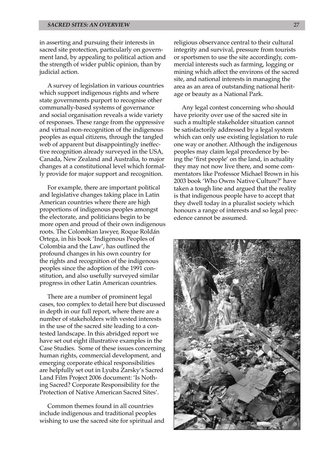in asserting and pursuing their interests in sacred site protection, particularly on government land, by appealing to political action and the strength of wider public opinion, than by judicial action.

A survey of legislation in various countries which support indigenous rights and where state governments purport to recognise other communally-based systems of governance and social organisation reveals a wide variety of responses. These range from the oppressive and virtual non-recognition of the indigenous peoples as equal citizens, through the tangled web of apparent but disappointingly ineffective recognition already surveyed in the USA, Canada, New Zealand and Australia, to major changes at a constitutional level which formally provide for major support and recognition.

For example, there are important political and legislative changes taking place in Latin American countries where there are high proportions of indigenous peoples amongst the electorate, and politicians begin to be more open and proud of their own indigenous roots. The Colombian lawyer, Roque Roldán Ortega, in his book 'Indigenous Peoples of Colombia and the Law', has outlined the profound changes in his own country for the rights and recognition of the indigenous peoples since the adoption of the 1991 constitution, and also usefully surveyed similar progress in other Latin American countries.

There are a number of prominent legal cases, too complex to detail here but discussed in depth in our full report, where there are a number of stakeholders with vested interests in the use of the sacred site leading to a contested landscape. In this abridged report we have set out eight illustrative examples in the Case Studies. Some of these issues concerning human rights, commercial development, and emerging corporate ethical responsibilities are helpfully set out in Lyuba Zarsky's Sacred Land Film Project 2006 document: 'Is Nothing Sacred? Corporate Responsibility for the Protection of Native American Sacred Sites'.

Common themes found in all countries include indigenous and traditional peoples wishing to use the sacred site for spiritual and religious observance central to their cultural integrity and survival, pressure from tourists or sportsmen to use the site accordingly, commercial interests such as farming, logging or mining which affect the environs of the sacred site, and national interests in managing the area as an area of outstanding national heritage or beauty as a National Park.

Any legal contest concerning who should have priority over use of the sacred site in such a multiple stakeholder situation cannot be satisfactorily addressed by a legal system which can only use existing legislation to rule one way or another. Although the indigenous peoples may claim legal precedence by being the 'first people' on the land, in actuality they may not now live there, and some commentators like Professor Michael Brown in his 2003 book 'Who Owns Native Culture?' have taken a tough line and argued that the reality is that indigenous people have to accept that they dwell today in a pluralist society which honours a range of interests and so legal precedence cannot be assumed.

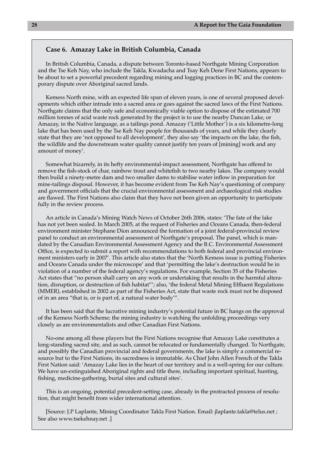#### **Case 6. Amazay Lake in British Columbia, Canada**

In British Columbia, Canada, a dispute between Toronto-based Northgate Mining Corporation and the Tse Keh Nay, who include the Takla, Kwadacha and Tsay Keh Dene First Nations, appears to be about to set a powerful precedent regarding mining and logging practices in BC and the contemporary dispute over Aboriginal sacred lands.

Kemess North mine, with an expected life span of eleven years, is one of several proposed developments which either intrude into a sacred area or goes against the sacred laws of the First Nations. Northgate claims that the only safe and economically viable option to dispose of the estimated 700 million tonnes of acid waste rock generated by the project is to use the nearby Duncan Lake, or Amazay, in the Native language, as a tailings pond. Amazay ('Little Mother') is a six kilometre-long lake that has been used by the Tse Keh Nay people for thousands of years, and while they clearly state that they are 'not opposed to all development', they also say 'the impacts on the lake, the fish, the wildlife and the downstream water quality cannot justify ten years of [mining] work and any amount of money'.

Somewhat bizarrely, in its hefty environmental-impact assessment, Northgate has offered to remove the fish-stock of char, rainbow trout and whitefish to two nearby lakes. The company would then build a ninety-metre dam and two smaller dams to stabilise water inflow in preparation for mine-tailings disposal. However, it has become evident from Tse Keh Nay's questioning of company and government officials that the crucial environmental assessment and archaeological risk studies are flawed. The First Nations also claim that they have not been given an opportunity to participate fully in the review process.

An article in Canada's Mining Watch News of October 26th 2006, states: 'The fate of the lake has not yet been sealed. In March 2005, at the request of Fisheries and Oceans Canada, then-federal environment minister Stephane Dion announced the formation of a joint federal-provincial review panel to conduct an environmental assessment of Northgate's proposal. The panel, which is mandated by the Canadian Environmental Assessment Agency and the B.C. Environmental Assessment Office, is expected to submit a report with recommendations to both federal and provincial environment ministers early in 2007'. This article also states that the 'North Kemess issue is putting Fisheries and Oceans Canada under the microscope' and that 'permitting the lake's destruction would be in violation of a number of the federal agency's regulations. For example, Section 35 of the Fisheries Act states that "no person shall carry on any work or undertaking that results in the harmful alteration, disruption, or destruction of fish habitat"'; also, 'the federal Metal Mining Effluent Regulations (MMER), established in 2002 as part of the Fisheries Act, state that waste rock must not be disposed of in an area "that is, or is part of, a natural water body'".

It has been said that the lucrative mining industry's potential future in BC hangs on the approval of the Kemess North Scheme; the mining industry is watching the unfolding proceedings very closely as are environmentalists and other Canadian First Nations.

No-one among all these players but the First Nations recognise that Amazay Lake constitutes a long-standing sacred site, and as such, cannot be relocated or fundamentally changed. To Northgate, and possibly the Canadian provincial and federal governments, the lake is simply a commercial resource but to the First Nations, its sacredness is immutable. As Chief John Allen French of the Takla First Nation said: 'Amazay Lake lies in the heart of our territory and is a well-spring for our culture. We have un-extinguished Aboriginal rights and title there, including important spiritual, hunting, fishing, medicine-gathering, burial sites and cultural sites'.

This is an ongoing, potential precedent-setting case, already in the protracted process of resolution, that might benefit from wider international attention.

[Source: J.P Laplante, Mining Coordinator Takla First Nation. Email: jlaplante.takla@telus.net ; See also www.tsekehnay.net .]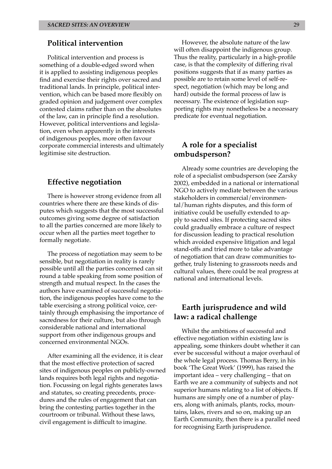### **Political intervention**

Political intervention and process is something of a double-edged sword when it is applied to assisting indigenous peoples find and exercise their rights over sacred and traditional lands. In principle, political intervention, which can be based more flexibly on graded opinion and judgement over complex contested claims rather than on the absolutes of the law, can in principle find a resolution. However, political interventions and legislation, even when apparently in the interests of indigenous peoples, more often favour corporate commercial interests and ultimately legitimise site destruction.

### **Effective negotiation**

There is however strong evidence from all countries where there are these kinds of disputes which suggests that the most successful outcomes giving some degree of satisfaction to all the parties concerned are more likely to occur when all the parties meet together to formally negotiate.

The process of negotiation may seem to be sensible, but negotiation in reality is rarely possible until all the parties concerned can sit round a table speaking from some position of strength and mutual respect. In the cases the authors have examined of successful negotiation, the indigenous peoples have come to the table exercising a strong political voice, certainly through emphasising the importance of sacredness for their culture, but also through considerable national and international support from other indigenous groups and concerned environmental NGOs.

After examining all the evidence, it is clear that the most effective protection of sacred sites of indigenous peoples on publicly-owned lands requires both legal rights and negotiation. Focussing on legal rights generates laws and statutes, so creating precedents, procedures and the rules of engagement that can bring the contesting parties together in the courtroom or tribunal. Without these laws, civil engagement is difficult to imagine.

However, the absolute nature of the law will often disappoint the indigenous group. Thus the reality, particularly in a high-profile case, is that the complexity of differing rival positions suggests that if as many parties as possible are to retain some level of self-respect, negotiation (which may be long and hard) outside the formal process of law is necessary. The existence of legislation supporting rights may nonetheless be a necessary predicate for eventual negotiation.

### **A role for a specialist ombudsperson?**

Already some countries are developing the role of a specialist ombudsperson (see Zarsky 2002), embedded in a national or international NGO to actively mediate between the various stakeholders in commercial/environmental/human rights disputes, and this form of initiative could be usefully extended to apply to sacred sites. If protecting sacred sites could gradually embrace a culture of respect for discussion leading to practical resolution which avoided expensive litigation and legal stand-offs and tried more to take advantage of negotiation that can draw communities together, truly listening to grassroots needs and cultural values, there could be real progress at national and international levels.

# **Earth jurisprudence and wild law: a radical challenge**

Whilst the ambitions of successful and effective negotiation within existing law is appealing, some thinkers doubt whether it can ever be successful without a major overhaul of the whole legal process. Thomas Berry, in his book 'The Great Work' (1999), has raised the important idea – very challenging – that on Earth we are a community of subjects and not superior humans relating to a list of objects. If humans are simply one of a number of players, along with animals, plants, rocks, mountains, lakes, rivers and so on, making up an Earth Community, then there is a parallel need for recognising Earth jurisprudence.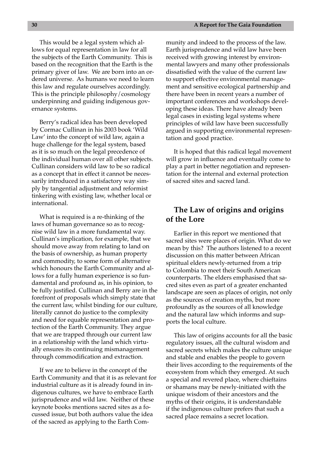This would be a legal system which allows for equal representation in law for all the subjects of the Earth Community. This is based on the recognition that the Earth is the primary giver of law. We are born into an ordered universe. As humans we need to learn this law and regulate ourselves accordingly. This is the principle philosophy/cosmology underpinning and guiding indigenous governance systems.

Berry's radical idea has been developed by Cormac Cullinan in his 2003 book 'Wild Law' into the concept of wild law, again a huge challenge for the legal system, based as it is so much on the legal precedence of the individual human over all other subjects. Cullinan considers wild law to be so radical as a concept that in effect it cannot be necessarily introduced in a satisfactory way simply by tangential adjustment and reformist tinkering with existing law, whether local or international.

What is required is a re-thinking of the laws of human governance so as to recognise wild law in a more fundamental way. Cullinan's implication, for example, that we should move away from relating to land on the basis of ownership, as human property and commodity, to some form of alternative which honours the Earth Community and allows for a fully human experience is so fundamental and profound as, in his opinion, to be fully justified. Cullinan and Berry are in the forefront of proposals which simply state that the current law, whilst binding for our culture, literally cannot do justice to the complexity and need for equable representation and protection of the Earth Community. They argue that we are trapped through our current law in a relationship with the land which virtually ensures its continuing mismanagement through commodification and extraction.

If we are to believe in the concept of the Earth Community and that it is as relevant for industrial culture as it is already found in indigenous cultures, we have to embrace Earth jurisprudence and wild law. Neither of these keynote books mentions sacred sites as a focussed issue, but both authors value the idea of the sacred as applying to the Earth Com-

munity and indeed to the process of the law. Earth jurisprudence and wild law have been received with growing interest by environmental lawyers and many other professionals dissatisfied with the value of the current law to support effective environmental management and sensitive ecological partnership and there have been in recent years a number of important conferences and workshops developing these ideas. There have already been legal cases in existing legal systems where principles of wild law have been successfully argued in supporting environmental representation and good practice.

It is hoped that this radical legal movement will grow in influence and eventually come to play a part in better negotiation and representation for the internal and external protection of sacred sites and sacred land.

# **The Law of origins and origins of the Lore**

Earlier in this report we mentioned that sacred sites were places of origin. What do we mean by this? The authors listened to a recent discussion on this matter between African spiritual elders newly-returned from a trip to Colombia to meet their South American counterparts. The elders emphasised that sacred sites even as part of a greater enchanted landscape are seen as places of origin, not only as the sources of creation myths, but more profoundly as the sources of all knowledge and the natural law which informs and supports the local culture.

This law of origins accounts for all the basic regulatory issues, all the cultural wisdom and sacred secrets which makes the culture unique and stable and enables the people to govern their lives according to the requirements of the ecosystem from which they emerged. At such a special and revered place, where chieftains or shamans may be newly-initiated with the unique wisdom of their ancestors and the myths of their origins, it is understandable if the indigenous culture prefers that such a sacred place remains a secret location.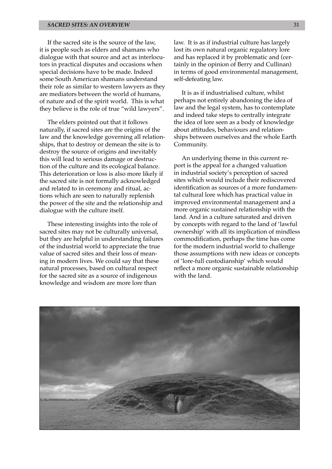If the sacred site is the source of the law, it is people such as elders and shamans who dialogue with that source and act as interlocutors in practical disputes and occasions when special decisions have to be made. Indeed some South American shamans understand their role as similar to western lawyers as they are mediators between the world of humans, of nature and of the spirit world. This is what they believe is the role of true "wild lawyers".

The elders pointed out that it follows naturally, if sacred sites are the origins of the law and the knowledge governing all relationships, that to destroy or demean the site is to destroy the source of origins and inevitably this will lead to serious damage or destruction of the culture and its ecological balance. This deterioration or loss is also more likely if the sacred site is not formally acknowledged and related to in ceremony and ritual, actions which are seen to naturally replenish the power of the site and the relationship and dialogue with the culture itself.

These interesting insights into the role of sacred sites may not be culturally universal, but they are helpful in understanding failures of the industrial world to appreciate the true value of sacred sites and their loss of meaning in modern lives. We could say that these natural processes, based on cultural respect for the sacred site as a source of indigenous knowledge and wisdom are more lore than

law. It is as if industrial culture has largely lost its own natural organic regulatory lore and has replaced it by problematic and (certainly in the opinion of Berry and Cullinan) in terms of good environmental management, self-defeating law.

It is as if industrialised culture, whilst perhaps not entirely abandoning the idea of law and the legal system, has to contemplate and indeed take steps to centrally integrate the idea of lore seen as a body of knowledge about attitudes, behaviours and relationships between ourselves and the whole Earth Community.

An underlying theme in this current report is the appeal for a changed valuation in industrial society's perception of sacred sites which would include their rediscovered identification as sources of a more fundamental cultural lore which has practical value in improved environmental management and a more organic sustained relationship with the land. And in a culture saturated and driven by concepts with regard to the land of 'lawful ownership' with all its implication of mindless commodification, perhaps the time has come for the modern industrial world to challenge those assumptions with new ideas or concepts of 'lore-full custodianship' which would reflect a more organic sustainable relationship with the land.

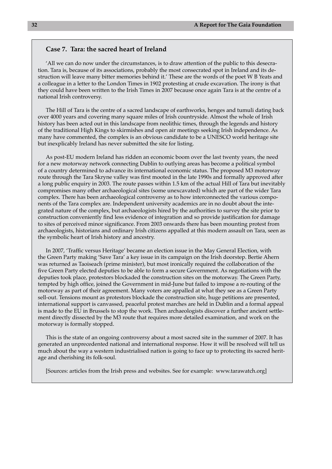### **Case 7. Tara: the sacred heart of Ireland**

'All we can do now under the circumstances, is to draw attention of the public to this desecration. Tara is, because of its associations, probably the most consecrated spot in Ireland and its destruction will leave many bitter memories behind it.' These are the words of the poet W B Yeats and a colleague in a letter to the London Times in 1902 protesting at crude excavation. The irony is that they could have been written to the Irish Times in 2007 because once again Tara is at the centre of a national Irish controversy.

The Hill of Tara is the centre of a sacred landscape of earthworks, henges and tumuli dating back over 4000 years and covering many square miles of Irish countryside. Almost the whole of Irish history has been acted out in this landscape from neolithic times, through the legends and history of the traditional High Kings to skirmishes and open air meetings seeking Irish independence. As many have commented, the complex is an obvious candidate to be a UNESCO world heritage site but inexplicably Ireland has never submitted the site for listing.

As post-EU modern Ireland has ridden an economic boom over the last twenty years, the need for a new motorway network connecting Dublin to outlying areas has become a political symbol of a country determined to advance its international economic status. The proposed M3 motorway route through the Tara Skryne valley was first mooted in the late 1990s and formally approved after a long public enquiry in 2003. The route passes within 1.5 km of the actual Hill of Tara but inevitably compromises many other archaeological sites (some unexcavated) which are part of the wider Tara complex. There has been archaeological controversy as to how interconnected the various components of the Tara complex are. Independent university academics are in no doubt about the integrated nature of the complex, but archaeologists hired by the authorities to survey the site prior to construction conveniently find less evidence of integration and so provide justification for damage to sites of perceived minor significance. From 2003 onwards there has been mounting protest from archaeologists, historians and ordinary Irish citizens appalled at this modern assault on Tara, seen as the symbolic heart of Irish history and ancestry.

In 2007, 'Traffic versus Heritage' became an election issue in the May General Election, with the Green Party making 'Save Tara' a key issue in its campaign on the Irish doorstep. Bertie Ahern was returned as Taoiseach (prime minister), but most ironically required the collaboration of the five Green Party elected deputies to be able to form a secure Government. As negotiations with the deputies took place, protestors blockaded the construction sites on the motorway. The Green Party, tempted by high office, joined the Government in mid-June but failed to impose a re-routing of the motorway as part of their agreement. Many voters are appalled at what they see as a Green Party sell-out. Tensions mount as protestors blockade the construction site, huge petitions are presented, international support is canvassed, peaceful protest marches are held in Dublin and a formal appeal is made to the EU in Brussels to stop the work. Then archaeologists discover a further ancient settlement directly dissected by the M3 route that requires more detailed examination, and work on the motorway is formally stopped.

This is the state of an ongoing controversy about a most sacred site in the summer of 2007. It has generated an unprecedented national and international response. How it will be resolved will tell us much about the way a western industrialised nation is going to face up to protecting its sacred heritage and cherishing its folk-soul.

[Sources: articles from the Irish press and websites. See for example: www.tarawatch.org]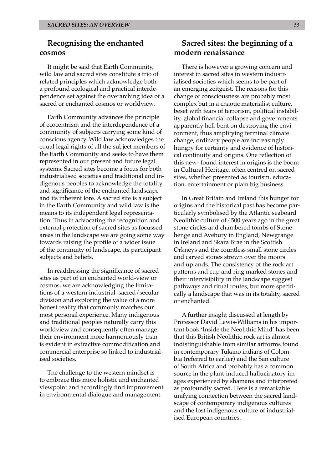## **Recognising the enchanted cosmos**

It might be said that Earth Community, wild law and sacred sites constitute a trio of related principles which acknowledge both a profound ecological and practical interdependence set against the overarching idea of a sacred or enchanted cosmos or worldview.

Earth Community advances the principle of ecocentrism and the interdependence of a community of subjects carrying some kind of conscious agency. Wild law acknowledges the equal legal rights of all the subject members of the Earth Community and seeks to have them represented in our present and future legal systems. Sacred sites become a focus for both industrialised societies and traditional and indigenous peoples to acknowledge the totality and significance of the enchanted landscape and its inherent lore. A sacred site is a subject in the Earth Community and wild law is the means to its independent legal representation. Thus in advocating the recognition and external protection of sacred sites as focussed areas in the landscape we are going some way towards raising the profile of a wider issue of the continuity of landscape, its participant subjects and beliefs.

In readdressing the significance of sacred sites as part of an enchanted world-view or cosmos, we are acknowledging the limitations of a western industrial sacred/secular division and exploring the value of a more honest reality that commonly matches our most personal experience. Many indigenous and traditional peoples naturally carry this worldview and consequently often manage their environment more harmoniously than is evident in extractive commodification and commercial enterprise so linked to industrialised societies.

The challenge to the western mindset is to embrace this more holistic and enchanted viewpoint and accordingly find improvement in environmental dialogue and management.

# **Sacred sites: the beginning of a modern renaissance**

There is however a growing concern and interest in sacred sites in western industrialised societies which seems to be part of an emerging zeitgeist. The reasons for this change of consciousness are probably most complex but in a chaotic materialist culture, beset with fears of terrorism, political instability, global financial collapse and governments apparently hell-bent on destroying the environment, thus amplifying terminal climate change, ordinary people are increasingly hungry for certainty and evidence of historical continuity and origins. One reflection of this new- found interest in origins is the boom in Cultural Heritage, often centred on sacred sites, whether presented as tourism, education, entertainment or plain big business.

In Great Britain and Ireland this hunger for origins and the historical past has become particularly symbolised by the Atlantic seaboard Neolithic culture of 4500 years ago in the great stone circles and chambered tombs of Stonehenge and Avebury in England, Newgrange in Ireland and Skara Brae in the Scottish Orkneys and the countless small stone circles and carved stones strewn over the moors and uplands. The consistency of the rock art patterns and cup and ring marked stones and their intervisibility in the landscape suggest pathways and ritual routes, but more specifically a landscape that was in its totality, sacred or enchanted.

A further insight discussed at length by Professor David Lewis-Williams in his important book 'Inside the Neolithic Mind' has been that this British Neolithic rock art is almost indistinguishable from similar artforms found in contemporary Tukano indians of Colombia (referred to earlier) and the San culture of South Africa and probably has a common source in the plant-induced hallucinatory images experienced by shamans and interpreted as profoundly sacred. Here is a remarkable unifying connection between the sacred landscape of contemporary indigenous cultures and the lost indigenous culture of industrialised European countries.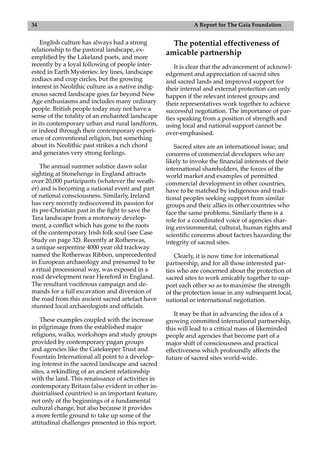English culture has always had a strong relationship to the pastoral landscape, exemplified by the Lakeland poets, and more recently by a loyal following of people interested in Earth Mysteries: ley lines, landscape zodiacs and crop circles, but the growing interest in Neolithic culture as a native indigenous sacred landscape goes far beyond New Age enthusiasms and includes many ordinary people. British people today may not have a sense of the totality of an enchanted landscape in its contemporary urban and rural landform, or indeed through their contemporary experience of conventional religion, but something about its Neolithic past strikes a rich chord and generates very strong feelings.

The annual summer solstice dawn solar sighting at Stonehenge in England attracts over 20,000 participants (whatever the weather) and is becoming a national event and part of national consciousness. Similarly, Ireland has very recently rediscovered its passion for its pre-Christian past in the fight to save the Tara landscape from a motorway development, a conflict which has gone to the roots of the contemporary Irish folk soul (see Case Study on page 32). Recently at Rotherwas, a unique serpentine 4000 year old trackway named the Rotherwas Ribbon, unprecedented in European archaeology and presumed to be a ritual processional way, was exposed in a road development near Hereford in England. The resultant vociferous campaign and demands for a full excavation and diversion of the road from this ancient sacred artefact have stunned local archaeologists and officials.

These examples coupled with the increase in pilgrimage from the established major religions, walks, workshops and study groups provided by contemporary pagan groups and agencies like the Gatekeeper Trust and Fountain International all point to a developing interest in the sacred landscape and sacred sites, a rekindling of an ancient relationship with the land. This renaissance of activities in contemporary Britain (also evident in other industrialised countries) is an important feature, not only of the beginnings of a fundamental cultural change, but also because it provides a more fertile ground to take up some of the attitudinal challenges presented in this report.

# **The potential effectiveness of amicable partnership**

It is clear that the advancement of acknowledgement and appreciation of sacred sites and sacred lands and improved support for their internal and external protection can only happen if the relevant interest groups and their representatives work together to achieve successful negotiation. The importance of parties speaking from a position of strength and using local and national support cannot be over-emphasised.

Sacred sites are an international issue, and concerns of commercial developers who are likely to invoke the financial interests of their international shareholders, the forces of the world market and examples of permitted commercial development in other countries, have to be matched by indigenous and traditional peoples seeking support from similar groups and their allies in other countries who face the same problems. Similarly there is a role for a coordinated voice of agencies sharing environmental, cultural, human rights and scientific concerns about factors hazarding the integrity of sacred sites.

Clearly, it is now time for international partnership, and for all those interested parties who are concerned about the protection of sacred sites to work amicably together to support each other so as to maximise the strength of the protection issue in any subsequent local, national or international negotiation.

It may be that in advancing the idea of a growing committed international partnership, this will lead to a critical mass of likeminded people and agencies that become part of a major shift of consciousness and practical effectiveness which profoundly affects the future of sacred sites world-wide.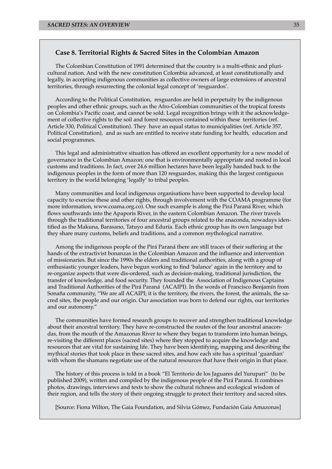#### **Case 8. Territorial Rights & Sacred Sites in the Colombian Amazon**

The Colombian Constitution of 1991 determined that the country is a multi-ethnic and pluricultural nation. And with the new constitution Colombia advanced, at least constitutionally and legally, in accepting indigenous communities as collective owners of large extensions of ancestral territories, through resurrecting the colonial legal concept of 'resguardos'.

According to the Political Constitution, resguardos are held in perpetuity by the indigenous peoples and other ethnic groups, such as the Afro-Colombian communities of the tropical forests on Colombia's Pacific coast, and cannot be sold. Legal recognition brings with it the acknowledgement of collective rights to the soil and forest resources contained within these territories (ref. Article 330, Political Constitution). They have an equal status to municipalities (ref. Article 357, Political Constitution), and as such are entitled to receive state funding for health, education and social programmes.

This legal and administrative situation has offered an excellent opportunity for a new model of governance in the Colombian Amazon; one that is environmentally appropriate and rooted in local customs and traditions. In fact, over 24.6 million hectares have been legally handed back to the indigenous peoples in the form of more than 120 resguardos, making this the largest contiguous territory in the world belonging 'legally' to tribal peoples.

Many communities and local indigenous organisations have been supported to develop local capacity to exercise these and other rights, through involvement with the COAMA programme (for more information, www.coama.org.co). One such example is along the Pirá Paraná River, which flows southwards into the Apaporis River, in the eastern Colombian Amazon. The river travels through the traditional territories of four ancestral groups related to the anaconda, nowadays identified as the Makuna, Barasano, Tatuyo and Eduria. Each ethnic group has its own language but they share many customs, beliefs and traditions, and a common mythological narrative.

Among the indigenous people of the Pirá Paraná there are still traces of their suffering at the hands of the extractivist bonanzas in the Colombian Amazon and the influence and intervention of missionaries. But since the 1990s the elders and traditional authorities, along with a group of enthusiastic younger leaders, have begun working to find 'balance' again in the territory and to re-organize aspects that were dis-ordered, such as decision-making, traditional jurisdiction, the transfer of knowledge, and food security. They founded the Association of Indigenous Captains and Traditional Authorities of the Pirá Paraná (ACAIPI). In the words of Francisco Benjamín from Sonaña community, "We are all ACAIPI; it is the territory, the rivers, the forest, the animals, the sacred sites, the people and our origin. Our association was born to defend our rights, our territories and our autonomy."

The communities have formed research groups to recover and strengthen traditional knowledge about their ancestral territory. They have re-constructed the routes of the four ancestral anacondas, from the mouth of the Amazonas River to where they began to transform into human beings, re-visiting the different places (sacred sites) where they stopped to acquire the knowledge and resources that are vital for sustaining life. They have been identifying, mapping and describing the mythical stories that took place in these sacred sites, and how each site has a spiritual 'guardian' with whom the shamans negotiate use of the natural resources that have their origin in that place.

The history of this process is told in a book "El Territorio de los Jaguares del Yurupari" (to be published 2009), written and compiled by the indigenous people of the Pirá Paraná. It combines photos, drawings, interviews and texts to show the cultural richness and ecological wisdom of their region, and tells the story of their ongoing struggle to protect their territory and sacred sites.

[Source: Fiona Wilton, The Gaia Foundation, and Silvia Gómez, Fundación Gaia Amazonas]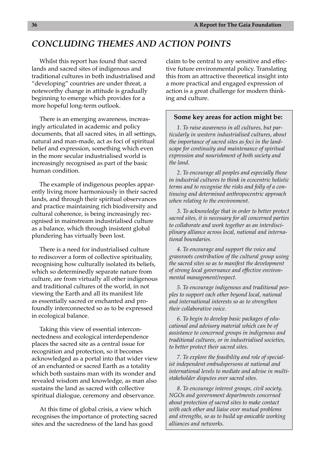# *CONCLUDING THEMES AND ACTION POINTS*

Whilst this report has found that sacred lands and sacred sites of indigenous and traditional cultures in both industrialised and "developing" countries are under threat, a noteworthy change in attitude is gradually beginning to emerge which provides for a more hopeful long-term outlook.

There is an emerging awareness, increasingly articulated in academic and policy documents, that all sacred sites, in all settings, natural and man-made, act as foci of spiritual belief and expression, something which even in the more secular industrialised world is increasingly recognised as part of the basic human condition.

The example of indigenous peoples apparently living more harmoniously in their sacred lands, and through their spiritual observances and practice maintaining rich biodiversity and cultural coherence, is being increasingly recognised in mainstream industrialised culture as a balance, which through insistent global plundering has virtually been lost.

There is a need for industrialised culture to rediscover a form of collective spirituality, recognising how culturally isolated its beliefs, which so determinedly separate nature from culture, are from virtually all other indigenous and traditional cultures of the world, in not viewing the Earth and all its manifest life as essentially sacred or enchanted and profoundly interconnected so as to be expressed in ecological balance.

Taking this view of essential interconnectedness and ecological interdependence places the sacred site as a central issue for recognition and protection, so it becomes acknowledged as a portal into that wider view of an enchanted or sacred Earth as a totality which both sustains man with its wonder and revealed wisdom and knowledge, as man also sustains the land as sacred with collective spiritual dialogue, ceremony and observance.

At this time of global crisis, a view which recognises the importance of protecting sacred sites and the sacredness of the land has good

claim to be central to any sensitive and effective future environmental policy. Translating this from an attractive theoretical insight into a more practical and engaged expression of action is a great challenge for modern thinking and culture.

#### **Some key areas for action might be:**

*1. To raise awareness in all cultures, but particularly in western industrialised cultures, about the importance of sacred sites as foci in the landscape for continuity and maintenance of spiritual expression and nourishment of both society and the land.*

*2. To encourage all peoples and especially those in industrial cultures to think in ecocentric holistic terms and to recognise the risks and folly of a continuing and determined anthropocentric approach when relating to the environment.*

*3. To acknowledge that in order to better protect sacred sites, it is necessary for all concerned parties to collaborate and work together as an interdisciplinary alliance across local, national and international boundaries.*

*4. To encourage and support the voice and grassroots contribution of the cultural group using the sacred sites so as to manifest the development of strong local governance and effective environmental management/respect.*

*5. To encourage indigenous and traditional peoples to support each other beyond local, national and international interests so as to strengthen their collaborative voice.*

*6. To begin to develop basic packages of educational and advisory material which can be of assistance to concerned groups in indigenous and traditional cultures, or in industrialised societies, to better protect their sacred sites.*

*7. To explore the feasibility and role of specialist independent ombudspersons at national and international levels to mediate and advise in multistakeholder disputes over sacred sites.*

*8. To encourage interest groups, civil society, NGOs and government departments concerned about protection of sacred sites to make contact with each other and liaise over mutual problems and strengths, so as to build up amicable working alliances and networks.*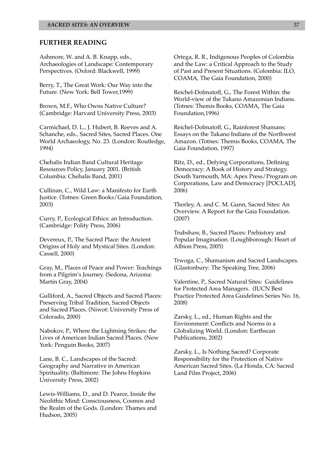### **FURTHER READING**

Ashmore, W. and A. B. Knapp, eds., Archaeologies of Landscape: Contemporary Perspectives. (Oxford: Blackwell, 1999)

Berry, T., The Great Work: Our Way into the Future. (New York: Bell Tower,1999)

Brown, M.F., Who Owns Native Culture? (Cambridge: Harvard University Press, 2003)

Carmichael, D. L., J. Hubert, B. Reeves and A. Schanche, eds., Sacred Sites, Sacred Places. One World Archaeology, No. 23. (London: Routledge, 1994)

Chehalis Indian Band Cultural Heritage Resources Policy, January 2001. (British Columbia: Chehalis Band, 2001)

Cullinan, C., Wild Law: a Manifesto for Earth Justice. (Totnes: Green Books/Gaia Foundation, 2003)

Curry, P., Ecological Ethics: an Introduction. (Cambridge: Polity Press, 2006)

Devereux, P., The Sacred Place: the Ancient Origins of Holy and Mystical Sites. (London: Cassell, 2000)

Gray, M., Places of Peace and Power: Teachings from a Pilgrim's Journey. (Sedona, Arizona: Martin Gray, 2004)

Gulliford, A., Sacred Objects and Sacred Places: Preserving Tribal Tradition, Sacred Objects and Sacred Places. (Niwot: University Press of Colorado, 2000)

Nabokov, P., Where the Lightning Strikes: the Lives of American Indian Sacred Places. (New York: Penguin Books, 2007)

Lane, B. C., Landscapes of the Sacred: Geography and Narrative in American Spirituality. (Baltimore: The Johns Hopkins University Press, 2002)

Lewis-Williams, D., and D. Pearce, Inside the Neolithic Mind: Consciousness, Cosmos and the Realm of the Gods. (London: Thames and Hudson, 2005)

Ortega, R. R., Indigenous Peoples of Colombia and the Law: a Critical Approach to the Study of Past and Present Situations. (Colombia: ILO, COAMA, The Gaia Foundation, 2000)

Reichel-Dolmatoff, G., The Forest Within: the World-view of the Tukano Amazonian Indians. (Totnes: Themis Books, COAMA, The Gaia Foundation,1996)

Reichel-Dolmatoff, G., Rainforest Shamans: Essays on the Tukano Indians of the Northwest Amazon. (Totnes: Themis Books, COAMA, The Gaia Foundation, 1997)

Ritz, D., ed., Defying Corporations, Defining Democracy: A Book of History and Strategy. (South Yarmouth, MA: Apex Press/Program on Corporations, Law and Democracy [POCLAD], 2006)

Thorley, A. and C. M. Gunn, Sacred Sites: An Overview. A Report for the Gaia Foundation. (2007)

Trubshaw, B., Sacred Places: Prehistory and Popular Imagination. (Loughborough: Heart of Albion Press, 2005)

Trwoga, C., Shamanism and Sacred Landscapes. (Glastonbury: The Speaking Tree, 2006)

Valentine, P., Sacred Natural Sites: Guidelines for Protected Area Managers. (IUCN Best Practice Protected Area Guidelines Series No. 16, 2008)

Zarsky, L., ed., Human Rights and the Environment: Conflicts and Norms in a Globalizing World. (London: Earthscan Publications, 2002)

Zarsky, L., Is Nothing Sacred? Corporate Responsibility for the Protection of Native American Sacred Sites. (La Honda, CA: Sacred Land Film Project, 2006)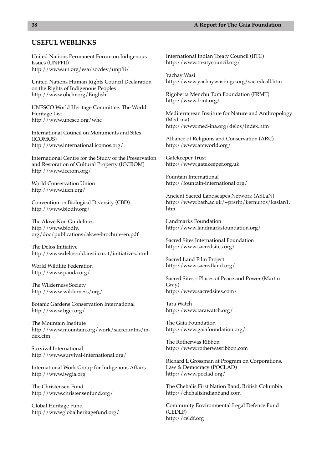#### **USEFUL WEBLINKS**

United Nations Permanent Forum on Indigenous Issues (UNPFII) http://www.un.org/esa/socdev/unpfii/

United Nations Human Rights Council Declaration on the Rights of Indigenous Peoples http://www.ohchr.org/English

UNESCO World Heritage Committee. The World Heritage List. http://www.unesco.org/whc

International Council on Monuments and Sites (ICOMOS) http://www.international.icomos.org/

International Centre for the Study of the Preservation and Restoration of Cultural Property (ICCROM) http://www.iccrom.org/

World Conservation Union http://www.iucn.org/

Convention on Biological Diversity (CBD) http://www.biodiv.org/

The Akwé:Kon Guidelines http://www.biodiv. org/doc/publications/akwe-brochure-en.pdf

The Delos Initiative http://www.delos-old.insti.cnr.it/initiatives.html

World Wildlife Federation http://www.panda.org/

The Wilderness Society http://www.wilderness/org/

Botanic Gardens Conservation International http://www.bgci.org/

The Mountain Institute http://www.mountain.org/work/sacredmtns/index.cfm

Survival International http://www.survival-international.org/

International Work Group for Indigenous Affairs http://www.iwgia.org

The Christensen Fund http://www.christensenfund.org/

Global Heritage Fund http://wwwglobalheritagefund.org/ International Indian Treaty Council (IITC) http://www.treatycouncil.org/

Yachay Wasi http://www.yachaywasi-ngo.org/sacredcall.htm

Rigoberta Menchu Tum Foundation (FRMT) http://www.frmt.org/

Mediterranean Institute for Nature and Anthropology (Med-ina) http://www.med-ina.org/delos/index.htm

Alliance of Religions and Conservation (ARC) http://www.arcworld.org/

Gatekeeper Trust http://www.gatekeeper.org.uk

Fountain International http://fountain-international.org/

Ancient Sacred Landscapes Network (ASLaN) http://www.bath.ac.uk/~prsrlp/kernunos/kaslan1. htm

Landmarks Foundation http://www.landmarksfoundation.org/

Sacred Sites International Foundation http://www.sacredsites.org/

Sacred Land Film Project http://www.sacredland.org/

Sacred Sites – Places of Peace and Power (Martin Gray) http://www.sacredsites.com/

Tara Watch http://www.tarawatch.org/

The Gaia Foundation http://www.gaiafoundation.org/

The Rotherwas Ribbon http://www.rotherwasribbon.com

Richard L Grossman at Program on Corporations, Law & Democracy (POCLAD) http://www.poclad.org/

The Chehalis First Nation Band, British Columbia http://chehalisindianband.com

Community Environmental Legal Defence Fund (CEDLF) http://celdf.org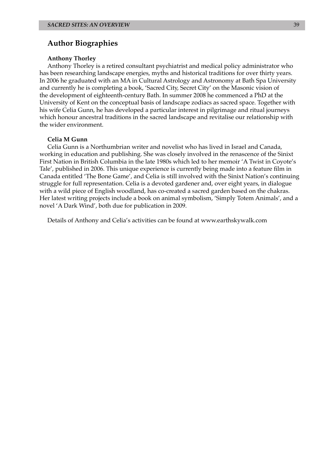### **Author Biographies**

#### **Anthony Thorley**

Anthony Thorley is a retired consultant psychiatrist and medical policy administrator who has been researching landscape energies, myths and historical traditions for over thirty years. In 2006 he graduated with an MA in Cultural Astrology and Astronomy at Bath Spa University and currently he is completing a book, 'Sacred City, Secret City' on the Masonic vision of the development of eighteenth-century Bath. In summer 2008 he commenced a PhD at the University of Kent on the conceptual basis of landscape zodiacs as sacred space. Together with his wife Celia Gunn, he has developed a particular interest in pilgrimage and ritual journeys which honour ancestral traditions in the sacred landscape and revitalise our relationship with the wider environment.

#### **Celia M Gunn**

Celia Gunn is a Northumbrian writer and novelist who has lived in Israel and Canada, working in education and publishing. She was closely involved in the renascence of the Sinixt First Nation in British Columbia in the late 1980s which led to her memoir 'A Twist in Coyote's Tale', published in 2006. This unique experience is currently being made into a feature film in Canada entitled 'The Bone Game', and Celia is still involved with the Sinixt Nation's continuing struggle for full representation. Celia is a devoted gardener and, over eight years, in dialogue with a wild piece of English woodland, has co-created a sacred garden based on the chakras. Her latest writing projects include a book on animal symbolism, 'Simply Totem Animals', and a novel 'A Dark Wind', both due for publication in 2009.

Details of Anthony and Celia's activities can be found at www.earthskywalk.com